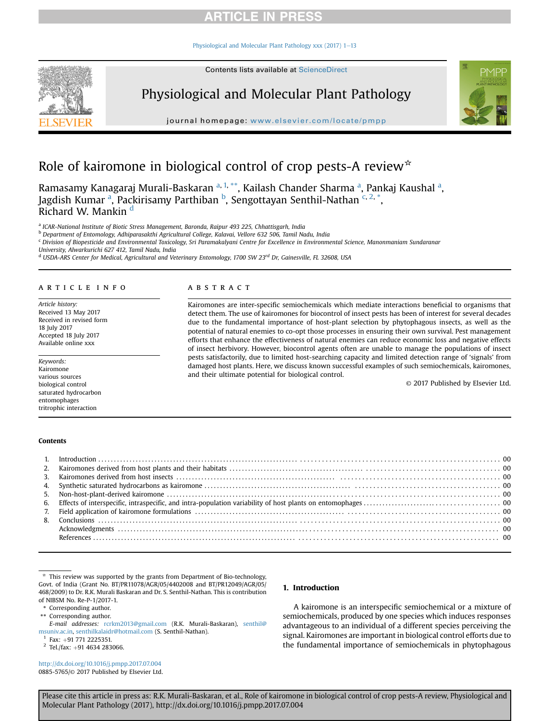[Physiological and Molecular Plant Pathology xxx \(2017\) 1](http://dx.doi.org/10.1016/j.pmpp.2017.07.004)-[13](http://dx.doi.org/10.1016/j.pmpp.2017.07.004)



# Physiological and Molecular Plant Pathology

journal homepage: [www.elsevier.com/locate/pmpp](http://www.elsevier.com/locate/pmpp)



# Role of kairomone in biological control of crop pests-A review $*$

Ramasamy Kanagaraj Murali-Baskaran <sup>a, 1,</sup> \*\*, Kailash Chander Sharma <sup>a</sup>, Pankaj Kaushal <sup>a</sup>, Jagdish Kumar <sup>a</sup>, Packirisamy Parthiban <sup>b</sup>, Sengottayan Senthil-Nathan <sup>c, 2,</sup> \*, Richard W. Mankin<sup>d</sup>

a ICAR-National Institute of Biotic Stress Management, Baronda, Raipur 493 225, Chhattisgarh, India

<sup>b</sup> Department of Entomology, Adhiparasakthi Agricultural College, Kalavai, Vellore 632 506, Tamil Nadu, India

<sup>c</sup> Division of Biopesticide and Environmental Toxicology, Sri Paramakalyani Centre for Excellence in Environmental Science, Manonmaniam Sundaranar

University, Alwarkurichi 627 412, Tamil Nadu, India

 $d$  USDA-ARS Center for Medical, Agricultural and Veterinary Entomology, 1700 SW 23rd Dr, Gainesville, FL 32608, USA

### article info

Article history: Received 13 May 2017 Received in revised form 18 July 2017 Accepted 18 July 2017 Available online xxx

Keywords: Kairomone various sources biological control saturated hydrocarbon entomophages tritrophic interaction

### Contents

### **ABSTRACT**

Kairomones are inter-specific semiochemicals which mediate interactions beneficial to organisms that detect them. The use of kairomones for biocontrol of insect pests has been of interest for several decades due to the fundamental importance of host-plant selection by phytophagous insects, as well as the potential of natural enemies to co-opt those processes in ensuring their own survival. Pest management efforts that enhance the effectiveness of natural enemies can reduce economic loss and negative effects of insect herbivory. However, biocontrol agents often are unable to manage the populations of insect pests satisfactorily, due to limited host-searching capacity and limited detection range of 'signals' from damaged host plants. Here, we discuss known successful examples of such semiochemicals, kairomones, and their ultimate potential for biological control.

© 2017 Published by Elsevier Ltd.

| $\begin{minipage}{0.4\textwidth} \begin{minipage}{0.4\textwidth} \centering \begin{minipage}{0.4\textwidth} \centering \end{minipage} \begin{minipage}{0.4\textwidth} \centering \begin{minipage}{0.4\textwidth} \centering \end{minipage} \begin{minipage}{0.4\textwidth} \centering \end{minipage} \begin{minipage}{0.4\textwidth} \centering \begin{minipage}{0.4\textwidth} \centering \end{minipage} \begin{minipage}{0.4\textwidth} \centering \end{minipage} \begin{minipage}{0.4\textwidth} \centering \end{minipage} \begin{minipage}{0.4\$ |  |
|------------------------------------------------------------------------------------------------------------------------------------------------------------------------------------------------------------------------------------------------------------------------------------------------------------------------------------------------------------------------------------------------------------------------------------------------------------------------------------------------------------------------------------------------------|--|
|                                                                                                                                                                                                                                                                                                                                                                                                                                                                                                                                                      |  |

 $*$  This review was supported by the grants from Department of Bio-technology, Govt. of India (Grant No. BT/PR11078/AGR/05/4402008 and BT/PR12049/AGR/05/ 468/2009) to Dr. R.K. Murali Baskaran and Dr. S. Senthil-Nathan. This is contribution of NIBSM No. Re-P-1/2017-1.

\* Corresponding author.

\*\* Corresponding author.

E-mail addresses: [rcrkm2013@gmail.com](mailto:rcrkm2013@gmail.com) (R.K. Murali-Baskaran), [senthil@](mailto:senthil@msuniv.ac.in) [msuniv.ac.in,](mailto:senthil@msuniv.ac.in) [senthilkalaidr@hotmail.com](mailto:senthilkalaidr@hotmail.com) (S. Senthil-Nathan).<br><sup>1</sup> Fax: +91 771 2225351.

 $2$  Tel./fax: +91 4634 283066.

<http://dx.doi.org/10.1016/j.pmpp.2017.07.004> 0885-5765/© 2017 Published by Elsevier Ltd.

### 1. Introduction

A kairomone is an interspecific semiochemical or a mixture of semiochemicals, produced by one species which induces responses advantageous to an individual of a different species perceiving the signal. Kairomones are important in biological control efforts due to the fundamental importance of semiochemicals in phytophagous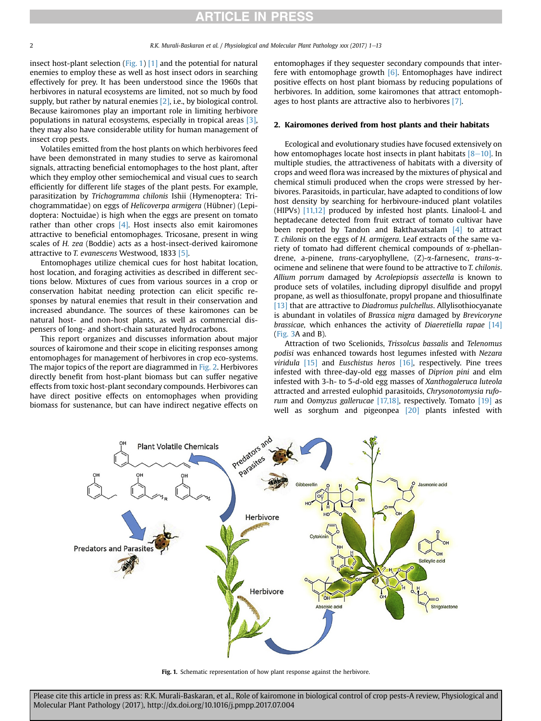<span id="page-1-0"></span>insect host-plant selection (Fig. 1) [\[1\]](#page-9-0) and the potential for natural enemies to employ these as well as host insect odors in searching effectively for prey. It has been understood since the 1960s that herbivores in natural ecosystems are limited, not so much by food supply, but rather by natural enemies [\[2\],](#page-9-0) i.e., by biological control. Because kairomones play an important role in limiting herbivore populations in natural ecosystems, especially in tropical areas [\[3\],](#page-9-0) they may also have considerable utility for human management of insect crop pests.

Volatiles emitted from the host plants on which herbivores feed have been demonstrated in many studies to serve as kairomonal signals, attracting beneficial entomophages to the host plant, after which they employ other semiochemical and visual cues to search efficiently for different life stages of the plant pests. For example, parasitization by Trichogramma chilonis Ishii (Hymenoptera: Trichogrammatidae) on eggs of Helicoverpa armigera (Hübner) (Lepidoptera: Noctuidae) is high when the eggs are present on tomato rather than other crops  $[4]$ . Host insects also emit kairomones attractive to beneficial entomophages. Tricosane, present in wing scales of H. zea (Boddie) acts as a host-insect-derived kairomone attractive to T. evanescens Westwood, 1833 [\[5\]](#page-9-0).

Entomophages utilize chemical cues for host habitat location, host location, and foraging activities as described in different sections below. Mixtures of cues from various sources in a crop or conservation habitat needing protection can elicit specific responses by natural enemies that result in their conservation and increased abundance. The sources of these kairomones can be natural host- and non-host plants, as well as commercial dispensers of long- and short-chain saturated hydrocarbons.

This report organizes and discusses information about major sources of kairomone and their scope in eliciting responses among entomophages for management of herbivores in crop eco-systems. The major topics of the report are diagrammed in [Fig. 2.](#page-2-0) Herbivores directly benefit from host-plant biomass but can suffer negative effects from toxic host-plant secondary compounds. Herbivores can have direct positive effects on entomophages when providing biomass for sustenance, but can have indirect negative effects on entomophages if they sequester secondary compounds that interfere with entomophage growth  $[6]$ . Entomophages have indirect positive effects on host plant biomass by reducing populations of herbivores. In addition, some kairomones that attract entomophages to host plants are attractive also to herbivores [\[7\]](#page-9-0).

### 2. Kairomones derived from host plants and their habitats

Ecological and evolutionary studies have focused extensively on how entomophages locate host insects in plant habitats  $[8-10]$  $[8-10]$  $[8-10]$ . In multiple studies, the attractiveness of habitats with a diversity of crops and weed flora was increased by the mixtures of physical and chemical stimuli produced when the crops were stressed by herbivores. Parasitoids, in particular, have adapted to conditions of low host density by searching for herbivoure-induced plant volatiles (HIPVs) [\[11,12\]](#page-9-0) produced by infested host plants. Linalool-L and heptadecane detected from fruit extract of tomato cultivar have been reported by Tandon and Bakthavatsalam [\[4\]](#page-9-0) to attract T. chilonis on the eggs of H. armigera. Leaf extracts of the same variety of tomato had different chemical compounds of  $\alpha$ -phellandrene, a-pinene, trans-caryophyllene, (Z)-a-farnesenc, trans-aocimene and selinene that were found to be attractive to T. chilonis. Allium porrum damaged by Acrolepiopsis assectella is known to produce sets of volatiles, including dipropyl disulfide and propyl propane, as well as thiosulfonate, propyl propane and thiosulfinate [\[13\]](#page-9-0) that are attractive to Diadromus pulchellus. Allylisothiocyanate is abundant in volatiles of Brassica nigra damaged by Brevicoryne brassicae, which enhances the activity of Diaeretiella rapae  $[14]$ ([Fig. 3A](#page-3-0) and B).

Attraction of two Scelionids, Trissolcus bassalis and Telenomus podisi was enhanced towards host legumes infested with Nezara viridula  $[15]$  and Euschistus heros  $[16]$ , respectively. Pine trees infested with three-day-old egg masses of Diprion pini and elm infested with 3-h- to 5-d-old egg masses of Xanthogaleruca luteola attracted and arrested eulophid parasitoids, Chrysonotomysia rufo-rum and Oomyzus gallerucae [\[17,18\]](#page-9-0), respectively. Tomato  $[19]$  as well as sorghum and pigeonpea [\[20\]](#page-9-0) plants infested with



Fig. 1. Schematic representation of how plant response against the herbivore.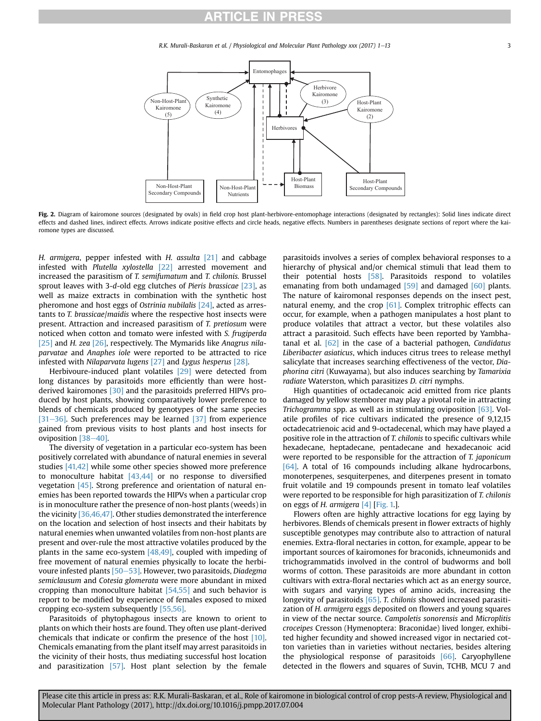R.K. Murali-Baskaran et al. / Physiological and Molecular Plant Pathology xxx (2017) 1–13 3

<span id="page-2-0"></span>

Fig. 2. Diagram of kairomone sources (designated by ovals) in field crop host plant-herbivore-entomophage interactions (designated by rectangles): Solid lines indicate direct effects and dashed lines, indirect effects. Arrows indicate positive effects and circle heads, negative effects. Numbers in parentheses designate sections of report where the kairomone types are discussed.

H. armigera, pepper infested with H. assulta [\[21\]](#page-9-0) and cabbage infested with Plutella xylostella [\[22\]](#page-9-0) arrested movement and increased the parasitism of T. semifumatum and T. chilonis. Brussel sprout leaves with 3-d-old egg clutches of Pieris brassicae [\[23\],](#page-9-0) as well as maize extracts in combination with the synthetic host pheromone and host eggs of Ostrinia nubilalis [\[24\],](#page-9-0) acted as arrestants to T. brassicae/maidis where the respective host insects were present. Attraction and increased parasitism of T. pretiosum were noticed when cotton and tomato were infested with S. frugiperda [\[25\]](#page-9-0) and H. zea [\[26\]](#page-9-0), respectively. The Mymarids like Anagrus nilaparvatae and Anaphes iole were reported to be attracted to rice infested with Nilaparvata lugens [\[27\]](#page-9-0) and Lygus hesperus [\[28\].](#page-9-0)

Herbivoure-induced plant volatiles [\[29\]](#page-9-0) were detected from long distances by parasitoids more efficiently than were hostderived kairomones [\[30\]](#page-9-0) and the parasitoids preferred HIPVs produced by host plants, showing comparatively lower preference to blends of chemicals produced by genotypes of the same species [\[31](#page-9-0)-[36\].](#page-9-0) Such preferences may be learned  $[37]$  from experience gained from previous visits to host plants and host insects for oviposition  $[38-40]$  $[38-40]$  $[38-40]$ .

The diversity of vegetation in a particular eco-system has been positively correlated with abundance of natural enemies in several studies [\[41,42\]](#page-9-0) while some other species showed more preference to monoculture habitat [\[43,44\]](#page-9-0) or no response to diversified vegetation [\[45\].](#page-9-0) Strong preference and orientation of natural enemies has been reported towards the HIPVs when a particular crop is in monoculture rather the presence of non-host plants (weeds) in the vicinity [\[36,46,47\]](#page-9-0). Other studies demonstrated the interference on the location and selection of host insects and their habitats by natural enemies when unwanted volatiles from non-host plants are present and over-rule the most attractive volatiles produced by the plants in the same eco-system [\[48,49\]](#page-9-0), coupled with impeding of free movement of natural enemies physically to locate the herbivoure infested plants  $[50-53]$  $[50-53]$  $[50-53]$ . However, two parasitoids, Diadegma semiclausum and Cotesia glomerata were more abundant in mixed cropping than monoculture habitat  $[54,55]$  and such behavior is report to be modified by experience of females exposed to mixed cropping eco-system subsequently [\[55,56\].](#page-10-0)

Parasitoids of phytophagous insects are known to orient to plants on which their hosts are found. They often use plant-derived chemicals that indicate or confirm the presence of the host [\[10\].](#page-9-0) Chemicals emanating from the plant itself may arrest parasitoids in the vicinity of their hosts, thus mediating successful host location and parasitization [\[57\].](#page-10-0) Host plant selection by the female parasitoids involves a series of complex behavioral responses to a hierarchy of physical and/or chemical stimuli that lead them to their potential hosts [\[58\].](#page-10-0) Parasitoids respond to volatiles emanating from both undamaged [\[59\]](#page-10-0) and damaged [\[60\]](#page-10-0) plants. The nature of kairomonal responses depends on the insect pest, natural enemy, and the crop [\[61\].](#page-10-0) Complex tritrophic effects can occur, for example, when a pathogen manipulates a host plant to produce volatiles that attract a vector, but these volatiles also attract a parasitoid. Such effects have been reported by Yambhatanal et al.  $[62]$  in the case of a bacterial pathogen, *Candidatus* Liberibacter asiaticus, which induces citrus trees to release methyl salicylate that increases searching effectiveness of the vector, Diaphorina citri (Kuwayama), but also induces searching by Tamarixia radiate Waterston, which parasitizes D. citri nymphs.

High quantities of octadecanoic acid emitted from rice plants damaged by yellow stemborer may play a pivotal role in attracting Trichogramma spp. as well as in stimulating oviposition [\[63\].](#page-10-0) Volatile profiles of rice cultivars indicated the presence of 9,12,15 octadecatrienoic acid and 9-octadecenal, which may have played a positive role in the attraction of T. chilonis to specific cultivars while hexadecane, heptadecane, pentadecane and hexadecanoic acid were reported to be responsible for the attraction of T. japonicum [\[64\].](#page-10-0) A total of 16 compounds including alkane hydrocarbons, monoterpenes, sesquiterpenes, and diterpenes present in tomato fruit volatile and 19 compounds present in tomato leaf volatiles were reported to be responsible for high parasitization of T. chilonis on eggs of H. armigera [\[4\]](#page-9-0) [\[Fig. 1.](#page-1-0)].

Flowers often are highly attractive locations for egg laying by herbivores. Blends of chemicals present in flower extracts of highly susceptible genotypes may contribute also to attraction of natural enemies. Extra-floral nectaries in cotton, for example, appear to be important sources of kairomones for braconids, ichneumonids and trichogrammatids involved in the control of budworms and boll worms of cotton. These parasitoids are more abundant in cotton cultivars with extra-floral nectaries which act as an energy source, with sugars and varying types of amino acids, increasing the longevity of parasitoids [\[65\].](#page-10-0) T. chilonis showed increased parasitization of H. armigera eggs deposited on flowers and young squares in view of the nectar source. Campoletis sonorensis and Microplitis croceipes Cresson (Hymenoptera: Braconidae) lived longer, exhibited higher fecundity and showed increased vigor in nectaried cotton varieties than in varieties without nectaries, besides altering the physiological response of parasitoids [\[66\].](#page-10-0) Caryophyllene detected in the flowers and squares of Suvin, TCHB, MCU 7 and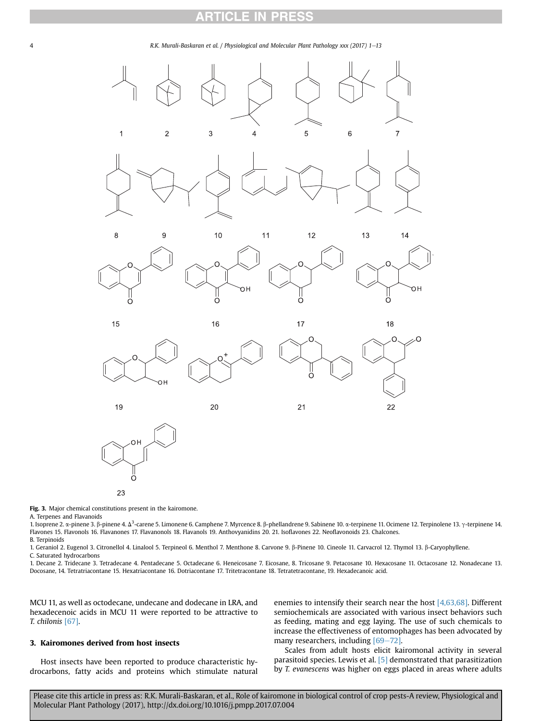### CLE IN PR

<span id="page-3-0"></span>



### 23

Fig. 3. Major chemical constitutions present in the kairomone.

A. Terpenes and Flavanoids

1. Isoprene 2. α-pinene 3. β-pinene 4. Δ<sup>3</sup>-carene 5. Limonene 6. Camphene 7. Myrcence 8. β-phellandrene 9. Sabinene 10. α-terpinene 11. Ocimene 12. Terpinolene 13. γ-terpinene 14.<br>Flavores 15. Flavorele 16. Flavorence 1 Flavones 15. Flavonols 16. Flavanones 17. Flavanonols 18. Flavanols 19. Anthovyanidins 20. 21. Isoflavones 22. Neoflavonoids 23. Chalcones. B. Terpinoids

1. Geraniol 2. Eugenol 3. Citronellol 4. Linalool 5. Terpineol 6. Menthol 7. Menthone 8. Carvone 9. b-Pinene 10. Cineole 11. Carvacrol 12. Thymol 13. b-Caryophyllene.

C. Saturated hydrocarbons

1. Decane 2. Tridecane 3. Tetradecane 4. Pentadecane 5. Octadecane 6. Heneicosane 7. Eicosane, 8. Tricosane 9. Petacosane 10. Hexacosane 11. Octacosane 12. Nonadecane 13. Docosane, 14. Tetratriacontane 15. Hexatriacontane 16. Dotriacontane 17. Tritetracontane 18. Tetratetracontane, 19. Hexadecanoic acid.

MCU 11, as well as octodecane, undecane and dodecane in LRA, and hexadecenoic acids in MCU 11 were reported to be attractive to T. chilonis [\[67\]](#page-10-0).

## 3. Kairomones derived from host insects

Host insects have been reported to produce characteristic hydrocarbons, fatty acids and proteins which stimulate natural enemies to intensify their search near the host  $[4,63,68]$ . Different semiochemicals are associated with various insect behaviors such as feeding, mating and egg laying. The use of such chemicals to increase the effectiveness of entomophages has been advocated by many researchers, including  $[69-72]$  $[69-72]$ .

Scales from adult hosts elicit kairomonal activity in several parasitoid species. Lewis et al. [\[5\]](#page-9-0) demonstrated that parasitization by T. evanescens was higher on eggs placed in areas where adults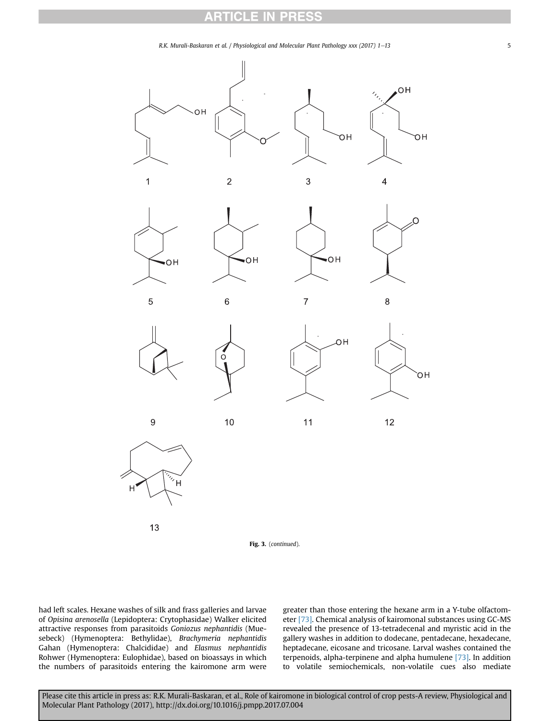#### RT CLE : PRES





had left scales. Hexane washes of silk and frass galleries and larvae of Opisina arenosella (Lepidoptera: Crytophasidae) Walker elicited attractive responses from parasitoids Goniozus nephantidis (Muesebeck) (Hymenoptera: Bethylidae), Brachymeria nephantidis Gahan (Hymenoptera: Chalcididae) and Elasmus nephantidis Rohwer (Hymenoptera: Eulophidae), based on bioassays in which the numbers of parasitoids entering the kairomone arm were

13

greater than those entering the hexane arm in a Y-tube olfactometer [\[73\].](#page-10-0) Chemical analysis of kairomonal substances using GC-MS revealed the presence of 13-tetradecenal and myristic acid in the gallery washes in addition to dodecane, pentadecane, hexadecane, heptadecane, eicosane and tricosane. Larval washes contained the terpenoids, alpha-terpinene and alpha humulene [\[73\]](#page-10-0). In addition to volatile semiochemicals, non-volatile cues also mediate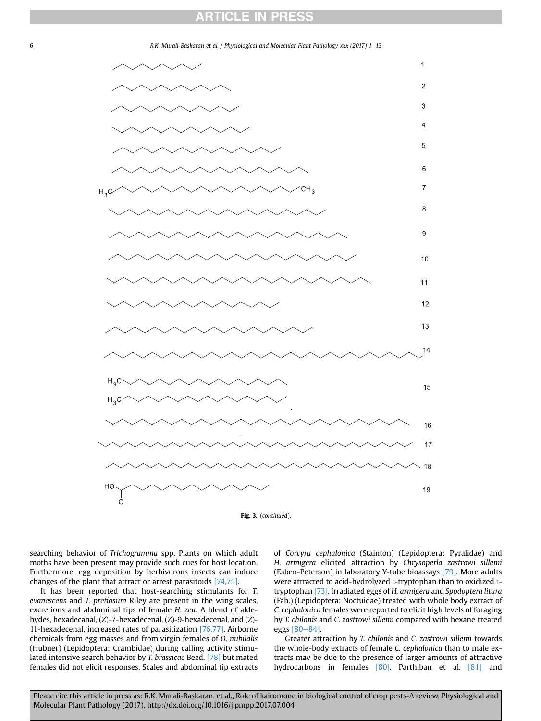

searching behavior of Trichogramma spp. Plants on which adult moths have been present may provide such cues for host location. Furthermore, egg deposition by herbivorous insects can induce changes of the plant that attract or arrest parasitoids [\[74,75\].](#page-10-0)

It has been reported that host-searching stimulants for T. evanescens and T. pretiosum Riley are present in the wing scales, excretions and abdominal tips of female H. zea. A blend of aldehydes, hexadecanal, (Z)-7-hexadecenal, (Z)-9-hexadecenal, and (Z)- 11-hexadecenal, increased rates of parasitization [\[76,77\]](#page-10-0). Airborne chemicals from egg masses and from virgin females of O. nubilalis (Hübner) (Lepidoptera: Crambidae) during calling activity stimulated intensive search behavior by T. brassicae Bezd. [\[78\]](#page-10-0) but mated females did not elicit responses. Scales and abdominal tip extracts of Corcyra cephalonica (Stainton) (Lepidoptera: Pyralidae) and H. armigera elicited attraction by Chrysoperla zastrowi sillemi (Esben-Peterson) in laboratory Y-tube bioassays [\[79\]](#page-10-0). More adults were attracted to acid-hydrolyzed L-tryptophan than to oxidized Ltryptophan [\[73\]](#page-10-0). Irradiated eggs of H. armigera and Spodoptera litura (Fab.) (Lepidoptera: Noctuidae) treated with whole body extract of C. cephalonica females were reported to elicit high levels of foraging by T. chilonis and C. zastrowi sillemi compared with hexane treated eggs [\[80](#page-10-0)-[84\]](#page-10-0).

Greater attraction by T. chilonis and C. zastrowi sillemi towards the whole-body extracts of female C. cephalonica than to male extracts may be due to the presence of larger amounts of attractive hydrocarbons in females [\[80\]](#page-10-0). Parthiban et al. [\[81\]](#page-10-0) and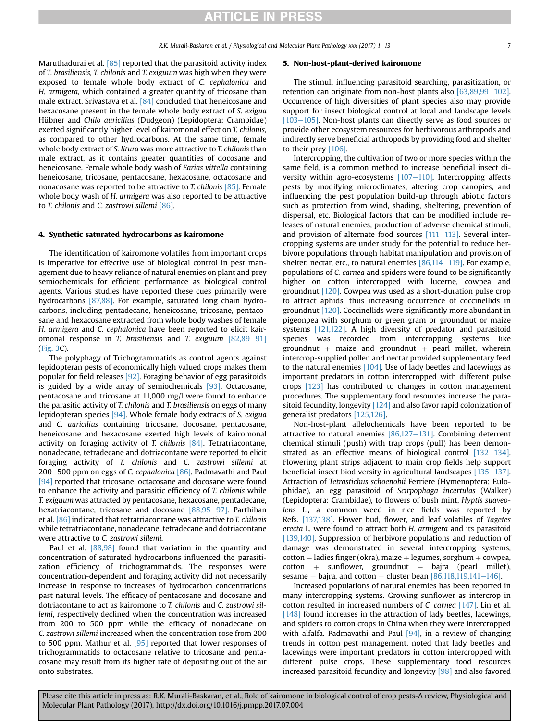Maruthadurai et al. <a>[\[85\]](#page-10-0)</a> reported that the parasitoid activity index of T. brasiliensis, T. chilonis and T. exiguum was high when they were exposed to female whole body extract of C. cephalonica and H. armigera, which contained a greater quantity of tricosane than male extract. Srivastava et al. [\[84\]](#page-10-0) concluded that heneicosane and hexacosane present in the female whole body extract of S. exigua Hübner and Chilo auricilius (Dudgeon) (Lepidoptera: Crambidae) exerted significantly higher level of kairomonal effect on T. chilonis, as compared to other hydrocarbons. At the same time, female whole body extract of S. litura was more attractive to T. chilonis than male extract, as it contains greater quantities of docosane and heneicosane. Female whole body wash of Earias vittella containing heneicosane, tricosane, pentacosane, hexacosane, octacosane and nonacosane was reported to be attractive to *T. chilonis* [\[85\].](#page-10-0) Female whole body wash of H. armigera was also reported to be attractive to T. chilonis and C. zastrowi sillemi [\[86\].](#page-10-0)

### 4. Synthetic saturated hydrocarbons as kairomone

The identification of kairomone volatiles from important crops is imperative for effective use of biological control in pest management due to heavy reliance of natural enemies on plant and prey semiochemicals for efficient performance as biological control agents. Various studies have reported these cues primarily were hydrocarbons [\[87,88\]](#page-10-0). For example, saturated long chain hydrocarbons, including pentadecane, heneicosane, tricosane, pentacosane and hexacosane extracted from whole body washes of female H. armigera and C. cephalonica have been reported to elicit kairomonal response in T. brasiliensis and T. exiguum  $[82,89-91]$  $[82,89-91]$  $[82,89-91]$ ([Fig. 3C](#page-3-0)).

The polyphagy of Trichogrammatids as control agents against lepidopteran pests of economically high valued crops makes them popular for field releases [\[92\]](#page-10-0). Foraging behavior of egg parasitoids is guided by a wide array of semiochemicals [\[93\].](#page-10-0) Octacosane, pentacosane and tricosane at 11,000 mg/l were found to enhance the parasitic activity of T. chilonis and T. brasiliensis on eggs of many lepidopteran species [\[94\]](#page-10-0). Whole female body extracts of S. exigua and C. auricilius containing tricosane, docosane, pentacosane, heneicosane and hexacosane exerted high levels of kairomonal activity on foraging activity of T. chilonis [\[84\].](#page-10-0) Tetratriacontane, nonadecane, tetradecane and dotriacontane were reported to elicit foraging activity of T. chilonis and C. zastrowi sillemi at 200-500 ppm on eggs of C. cephalonica  $[86]$ . Padmavathi and Paul [\[94\]](#page-10-0) reported that tricosane, octacosane and docosane were found to enhance the activity and parasitic efficiency of T. chilonis while T. exiguum was attracted by pentacosane, hexacosane, pentadecane, hexatriacontane, tricosane and docosane  $[88,95-97]$  $[88,95-97]$  $[88,95-97]$ . Parthiban et al. [\[86\]](#page-10-0) indicated that tetratriacontane was attractive to T. chilonis while tetratriacontane, nonadecane, tetradecane and dotriacontane were attractive to C. zastrowi sillemi.

Paul et al. [\[88,98\]](#page-10-0) found that variation in the quantity and concentration of saturated hydrocarbons influenced the parasitization efficiency of trichogrammatids. The responses were concentration-dependent and foraging activity did not necessarily increase in response to increases of hydrocarbon concentrations past natural levels. The efficacy of pentacosane and docosane and dotriacontane to act as kairomone to T. chilonis and C. zastrowi sillemi, respectively declined when the concentration was increased from 200 to 500 ppm while the efficacy of nonadecane on C. zastrowi sillemi increased when the concentration rose from 200 to 500 ppm. Mathur et al. [\[95\]](#page-10-0) reported that lower responses of trichogrammatids to octacosane relative to tricosane and pentacosane may result from its higher rate of depositing out of the air onto substrates.

### 5. Non-host-plant-derived kairomone

The stimuli influencing parasitoid searching, parasitization, or retention can originate from non-host plants also  $[63,89,99-102]$  $[63,89,99-102]$ . Occurrence of high diversities of plant species also may provide support for insect biological control at local and landscape levels  $[103-105]$  $[103-105]$ . Non-host plants can directly serve as food sources or provide other ecosystem resources for herbivorous arthropods and indirectly serve beneficial arthropods by providing food and shelter to their prey [\[106\]](#page-10-0).

Intercropping, the cultivation of two or more species within the same field, is a common method to increase beneficial insect diversity within agro-ecosystems  $[107-110]$  $[107-110]$  $[107-110]$ . Intercropping affects pests by modifying microclimates, altering crop canopies, and influencing the pest population build-up through abiotic factors such as protection from wind, shading, sheltering, prevention of dispersal, etc. Biological factors that can be modified include releases of natural enemies, production of adverse chemical stimuli, and provision of alternate food sources  $[111–113]$  $[111–113]$  $[111–113]$ . Several intercropping systems are under study for the potential to reduce herbivore populations through habitat manipulation and provision of shelter, nectar, etc., to natural enemies  $[86,114-119]$  $[86,114-119]$  $[86,114-119]$ . For example, populations of C. carnea and spiders were found to be significantly higher on cotton intercropped with lucerne, cowpea and groundnut [\[120\].](#page-11-0) Cowpea was used as a short-duration pulse crop to attract aphids, thus increasing occurrence of coccinellids in groundnut [\[120\].](#page-11-0) Coccinellids were significantly more abundant in pigeonpea with sorghum or green gram or groundnut or maize systems [\[121,122\]](#page-11-0). A high diversity of predator and parasitoid species was recorded from intercropping systems like groundnut  $+$  maize and groundnut  $+$  pearl millet, wherein intercrop-supplied pollen and nectar provided supplementary feed to the natural enemies  $[104]$ . Use of lady beetles and lacewings as important predators in cotton intercropped with different pulse crops [\[123\]](#page-11-0) has contributed to changes in cotton management procedures. The supplementary food resources increase the parasitoid fecundity, longevity  $[124]$  and also favor rapid colonization of generalist predators [\[125,126\].](#page-11-0)

Non-host-plant allelochemicals have been reported to be attractive to natural enemies  $[86,127-131]$  $[86,127-131]$  $[86,127-131]$ . Combining deterrent chemical stimuli (push) with trap crops (pull) has been demonstrated as an effective means of biological control  $[132-134]$  $[132-134]$ . Flowering plant strips adjacent to main crop fields help support beneficial insect biodiversity in agricultural landscapes [\[135](#page-11-0)-[137\].](#page-11-0) Attraction of Tetrastichus schoenobii Ferriere (Hymenoptera: Eulophidae), an egg parasitoid of Scirpophaga incertulas (Walker) (Lepidoptera: Crambidae), to flowers of bush mint, Hyptis suaveolens L., a common weed in rice fields was reported by Refs. [\[137,138\].](#page-11-0) Flower bud, flower, and leaf volatiles of Tagetes erecta L. were found to attract both H. armigera and its parasitoid [\[139,140\]](#page-11-0). Suppression of herbivore populations and reduction of damage was demonstrated in several intercropping systems,  $\text{cotton} + \text{lades finger}$  (okra), maize  $+$  legumes, sorghum  $+$  cowpea,  $\cot$ ton + sunflower, groundnut + bajra (pearl millet), sesame + bajra, and cotton + cluster bean  $[86,118,119,141-146]$  $[86,118,119,141-146]$ .

Increased populations of natural enemies has been reported in many intercropping systems. Growing sunflower as intercrop in cotton resulted in increased numbers of C. carnea [\[147\]](#page-11-0). Lin et al. [\[148\]](#page-11-0) found increases in the attraction of lady beetles, lacewings, and spiders to cotton crops in China when they were intercropped with alfalfa. Padmavathi and Paul  $[94]$ , in a review of changing trends in cotton pest management, noted that lady beetles and lacewings were important predators in cotton intercropped with different pulse crops. These supplementary food resources increased parasitoid fecundity and longevity [\[98\]](#page-10-0) and also favored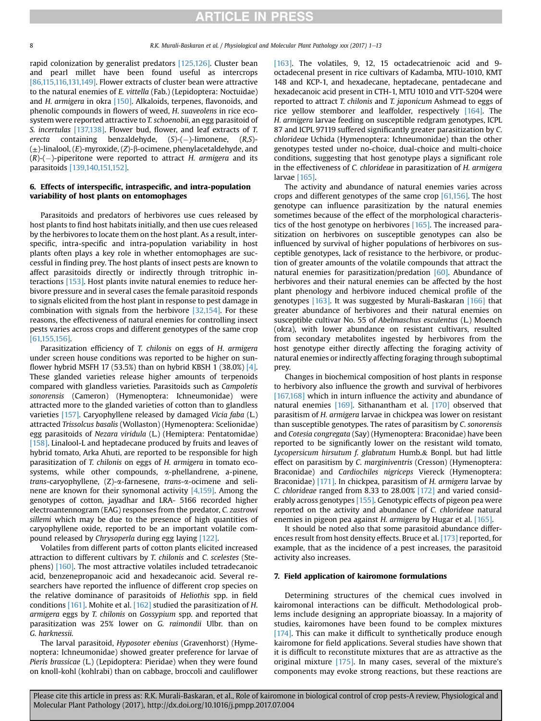rapid colonization by generalist predators [\[125,126\]](#page-11-0). Cluster bean and pearl millet have been found useful as intercrops [\[86,115,116,131,149\].](#page-10-0) Flower extracts of cluster bean were attractive to the natural enemies of E. vittella (Fab.) (Lepidoptera: Noctuidae) and H. armigera in okra [\[150\].](#page-11-0) Alkaloids, terpenes, flavonoids, and phenolic compounds in flowers of weed, H. suaveolens in rice ecosystem were reported attractive to T. schoenobii, an egg parasitoid of S. incertulas [\[137,138\]](#page-11-0). Flower bud, flower, and leaf extracts of T. erecta containing benzaldehyde, (S)-(-)-limonene, (R,S)-  $(\pm)$ -linalool,  $(E)$ -myroxide,  $(Z)$ - $\beta$ -ocimene, phenylacetaldehyde, and  $(R)$ - $(-)$ -piperitone were reported to attract H. armigera and its parasitoids [\[139,140,151,152\].](#page-11-0)

### 6. Effects of interspecific, intraspecific, and intra-population variability of host plants on entomophages

Parasitoids and predators of herbivores use cues released by host plants to find host habitats initially, and then use cues released by the herbivores to locate them on the host plant. As a result, interspecific, intra-specific and intra-population variability in host plants often plays a key role in whether entomophages are successful in finding prey. The host plants of insect pests are known to affect parasitoids directly or indirectly through tritrophic interactions [\[153\]](#page-11-0). Host plants invite natural enemies to reduce herbivore pressure and in several cases the female parasitoid responds to signals elicited from the host plant in response to pest damage in combination with signals from the herbivore [\[32,154\]](#page-9-0). For these reasons, the effectiveness of natural enemies for controlling insect pests varies across crops and different genotypes of the same crop [\[61,155,156\]](#page-10-0).

Parasitization efficiency of T. chilonis on eggs of H. armigera under screen house conditions was reported to be higher on sunflower hybrid MSFH 17 (53.5%) than on hybrid KBSH 1 (38.0%)  $[4]$ . These glanded varieties release higher amounts of terpenoids compared with glandless varieties. Parasitoids such as Campoletis sonorensis (Cameron) (Hymenoptera: Ichneumonidae) were attracted more to the glanded varieties of cotton than to glandless varieties [\[157\]](#page-11-0). Caryophyllene released by damaged Vicia faba (L.) attracted Trissolcus basalis (Wollaston) (Hymenoptera: Scelionidae) egg parasitoids of Nezara viridula (L.) (Hemiptera: Pentatomidae) [\[158\]](#page-11-0). Linalool-L and heptadecane produced by fruits and leaves of hybrid tomato, Arka Ahuti, are reported to be responsible for high parasitization of T. chilonis on eggs of H. armigera in tomato ecosystems, while other compounds, α-phellandrene, a-pinene, trans-caryophyllene, (Z)-a-farnesene, trans-a-ocimene and selinene are known for their synomonal activity [\[4,159\]](#page-9-0). Among the genotypes of cotton, jayadhar and LRA- 5166 recorded higher electroantennogram (EAG) responses from the predator, C. zastrowi sillemi which may be due to the presence of high quantities of caryophyllene oxide, reported to be an important volatile compound released by Chrysoperla during egg laying [\[122\]](#page-11-0).

Volatiles from different parts of cotton plants elicited increased attraction to different cultivars by T. chilonis and C. scelestes (Stephens) [\[160\]](#page-11-0). The most attractive volatiles included tetradecanoic acid, benzenepropanoic acid and hexadecanoic acid. Several researchers have reported the influence of different crop species on the relative dominance of parasitoids of Heliothis spp. in field conditions [\[161\].](#page-11-0) Mohite et al. [\[162\]](#page-12-0) studied the parasitization of H. armigera eggs by T. chilonis on Gossypium spp. and reported that parasitization was 25% lower on G. raimondii Ulbr. than on G. harknessii.

The larval parasitoid, Hyposoter ebenius (Gravenhorst) (Hymenoptera: Ichneumonidae) showed greater preference for larvae of Pieris brassicae (L.) (Lepidoptera: Pieridae) when they were found on knoll-kohl (kohlrabi) than on cabbage, broccoli and cauliflower [\[163\]](#page-12-0). The volatiles, 9, 12, 15 octadecatrienoic acid and 9octadecenal present in rice cultivars of Kadamba, MTU-1010, KMT 148 and KCP-1, and hexadecane, heptadecane, pentadecane and hexadecanoic acid present in CTH-1, MTU 1010 and VTT-5204 were reported to attract T. chilonis and T. japonicum Ashmead to eggs of rice yellow stemborer and leaffolder, respectively [\[164\]](#page-12-0). The H. armigera larvae feeding on susceptible redgram genotypes, ICPL 87 and ICPL 97119 suffered significantly greater parasitization by C. chlorideae Uchida (Hymenoptera: Ichneumonidae) than the other genotypes tested under no-choice, dual-choice and multi-choice conditions, suggesting that host genotype plays a significant role in the effectiveness of C. chlorideae in parasitization of H. armigera larvae [\[165\].](#page-12-0)

The activity and abundance of natural enemies varies across crops and different genotypes of the same crop [\[61,156\]](#page-10-0). The host genotype can influence parasitization by the natural enemies sometimes because of the effect of the morphological characteristics of the host genotype on herbivores [\[165\]](#page-12-0). The increased parasitization on herbivores on susceptible genotypes can also be influenced by survival of higher populations of herbivores on susceptible genotypes, lack of resistance to the herbivore, or production of greater amounts of the volatile compounds that attract the natural enemies for parasitization/predation [\[60\]](#page-10-0). Abundance of herbivores and their natural enemies can be affected by the host plant phenology and herbivore induced chemical profile of the genotypes [\[163\]](#page-12-0). It was suggested by Murali-Baskaran [\[166\]](#page-12-0) that greater abundance of herbivores and their natural enemies on susceptible cultivar No. 55 of Abelmaschus esculentus (L.) Moench (okra), with lower abundance on resistant cultivars, resulted from secondary metabolites ingested by herbivores from the host genotype either directly affecting the foraging activity of natural enemies or indirectly affecting foraging through suboptimal prey.

Changes in biochemical composition of host plants in response to herbivory also influence the growth and survival of herbivores [\[167,168\]](#page-12-0) which in inturn influence the activity and abundance of natural enemies [\[169\]](#page-12-0). Sithanantham et al. [\[170\]](#page-12-0) observed that parasitism of H. armigera larvae in chickpea was lower on resistant than susceptible genotypes. The rates of parasitism by C. sonorensis and Cotesia congregata (Say) (Hymenoptera: Braconidae) have been reported to be significantly lower on the resistant wild tomato, Lycopersicum hirsutum f. glabratum Humb.& Bonpl. but had little effect on parasitism by C. marginiventris (Cresson) (Hymenoptera: Braconidae) and Cardiochiles nigriceps Viereck (Hymenoptera: Braconidae) [\[171\]](#page-12-0). In chickpea, parasitism of H. armigera larvae by C. chlorideae ranged from 8.33 to 28.00% [\[172\]](#page-12-0) and varied consid-erably across genotypes [\[155\]](#page-11-0). Genotypic effects of pigeon pea were reported on the activity and abundance of C. chlorideae natural enemies in pigeon pea against H. armigera by Hugar et al. [\[165\].](#page-12-0)

It should be noted also that some parasitoid abundance differences result from host density effects. Bruce et al. [\[173\]](#page-12-0) reported, for example, that as the incidence of a pest increases, the parasitoid activity also increases.

### 7. Field application of kairomone formulations

Determining structures of the chemical cues involved in kairomonal interactions can be difficult. Methodological problems include designing an appropriate bioassay. In a majority of studies, kairomones have been found to be complex mixtures [\[174\].](#page-12-0) This can make it difficult to synthetically produce enough kairomone for field applications. Several studies have shown that it is difficult to reconstitute mixtures that are as attractive as the original mixture [\[175\]](#page-12-0). In many cases, several of the mixture's components may evoke strong reactions, but these reactions are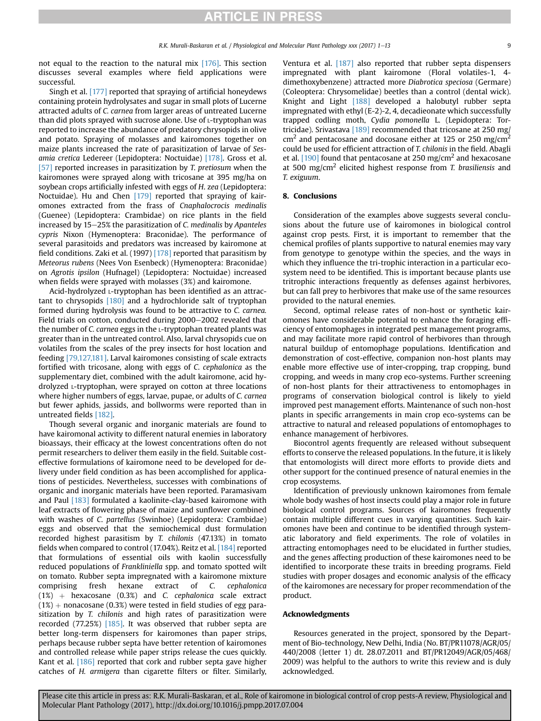not equal to the reaction to the natural mix [\[176\]](#page-12-0). This section discusses several examples where field applications were successful.

Singh et al. [\[177\]](#page-12-0) reported that spraying of artificial honeydews containing protein hydrolysates and sugar in small plots of Lucerne attracted adults of C. carnea from larger areas of untreated Lucerne than did plots sprayed with sucrose alone. Use of L-tryptophan was reported to increase the abundance of predatory chrysopids in olive and potato. Spraying of molasses and kairomones together on maize plants increased the rate of parasitization of larvae of Sesamia cretica Ledereer (Lepidoptera: Noctuidae) [\[178\]](#page-12-0). Gross et al. [\[57\]](#page-10-0) reported increases in parasitization by T. pretiosum when the kairomones were sprayed along with tricosane at 395 mg/ha on soybean crops artificially infested with eggs of H. zea (Lepidoptera: Noctuidae). Hu and Chen [\[179\]](#page-12-0) reported that spraying of kairomones extracted from the frass of Cnaphalocrocis medinalis (Guenee) (Lepidoptera: Crambidae) on rice plants in the field increased by  $15-25\%$  the parasitization of C. medinalis by Apanteles cypris Nixon (Hymenoptera: Braconidae). The performance of several parasitoids and predators was increased by kairomone at field conditions. Zaki et al. (1997) [\[178\]](#page-12-0) reported that parasitism by Meteorus rubens (Nees Von Esenbeck) (Hymenoptera: Braconidae) on Agrotis ipsilon (Hufnagel) (Lepidoptera: Noctuidae) increased when fields were sprayed with molasses (3%) and kairomone.

Acid-hydrolyzed L-tryptophan has been identified as an attractant to chrysopids [\[180\]](#page-12-0) and a hydrochloride salt of tryptophan formed during hydrolysis was found to be attractive to C. carnea. Field trials on cotton, conducted during 2000-2002 revealed that the number of C. carnea eggs in the L-tryptophan treated plants was greater than in the untreated control. Also, larval chrysopids cue on volatiles from the scales of the prey insects for host location and feeding [\[79,127,181\]](#page-10-0). Larval kairomones consisting of scale extracts fortified with tricosane, along with eggs of C. cephalonica as the supplementary diet, combined with the adult kairomone, acid hydrolyzed L-tryptophan, were sprayed on cotton at three locations where higher numbers of eggs, larvae, pupae, or adults of C. carnea but fewer aphids, jassids, and bollworms were reported than in untreated fields [\[182\]](#page-12-0).

Though several organic and inorganic materials are found to have kairomonal activity to different natural enemies in laboratory bioassays, their efficacy at the lowest concentrations often do not permit researchers to deliver them easily in the field. Suitable costeffective formulations of kairomone need to be developed for delivery under field condition as has been accomplished for applications of pesticides. Nevertheless, successes with combinations of organic and inorganic materials have been reported. Paramasivam and Paul [\[183\]](#page-12-0) formulated a kaolinite-clay-based kairomone with leaf extracts of flowering phase of maize and sunflower combined with washes of C. partellus (Swinhoe) (Lepidoptera: Crambidae) eggs and observed that the semiochemical dust formulation recorded highest parasitism by T. chilonis (47.13%) in tomato fields when compared to control (17.04%). Reitz et al. [\[184\]](#page-12-0) reported that formulations of essential oils with kaolin successfully reduced populations of Frankliniella spp. and tomato spotted wilt on tomato. Rubber septa impregnated with a kairomone mixture comprising fresh hexane extract of C. cephalonica  $(1%)$  + hexacosane  $(0.3%)$  and C. cephalonica scale extract  $(1%)$  + nonacosane (0.3%) were tested in field studies of egg parasitization by T. chilonis and high rates of parasitization were recorded (77.25%) [\[185\]](#page-12-0). It was observed that rubber septa are better long-term dispensers for kairomones than paper strips, perhaps because rubber septa have better retention of kairomones and controlled release while paper strips release the cues quickly. Kant et al. [\[186\]](#page-12-0) reported that cork and rubber septa gave higher catches of H. armigera than cigarette filters or filter. Similarly,

Ventura et al. [\[187\]](#page-12-0) also reported that rubber septa dispensers impregnated with plant kairomone (Floral volatiles-1, 4 dimethoxybenzene) attracted more Diabrotica speciosa (Germare) (Coleoptera: Chrysomelidae) beetles than a control (dental wick). Knight and Light [\[188\]](#page-12-0) developed a halobutyl rubber septa impregnated with ethyl (E-2)-2, 4, decadieonate which successfully trapped codling moth, Cydia pomonella L. (Lepidoptera: Tortricidae). Srivastava [\[189\]](#page-12-0) recommended that tricosane at 250 mg/  $\text{cm}^2$  and pentacosane and docosane either at 125 or 250 mg/cm<sup>2</sup> could be used for efficient attraction of T. chilonis in the field. Abagli et al. [\[190\]](#page-12-0) found that pentacosane at 250 mg/cm<sup>2</sup> and hexacosane at 500 mg/cm<sup>2</sup> elicited highest response from T. brasiliensis and T. exiguum.

### 8. Conclusions

Consideration of the examples above suggests several conclusions about the future use of kairomones in biological control against crop pests. First, it is important to remember that the chemical profiles of plants supportive to natural enemies may vary from genotype to genotype within the species, and the ways in which they influence the tri-trophic interaction in a particular ecosystem need to be identified. This is important because plants use tritrophic interactions frequently as defenses against herbivores, but can fall prey to herbivores that make use of the same resources provided to the natural enemies.

Second, optimal release rates of non-host or synthetic kairomones have considerable potential to enhance the foraging efficiency of entomophages in integrated pest management programs, and may facilitate more rapid control of herbivores than through natural buildup of entomophage populations. Identification and demonstration of cost-effective, companion non-host plants may enable more effective use of inter-cropping, trap cropping, bund cropping, and weeds in many crop eco-systems. Further screening of non-host plants for their attractiveness to entomophages in programs of conservation biological control is likely to yield improved pest management efforts. Maintenance of such non-host plants in specific arrangements in main crop eco-systems can be attractive to natural and released populations of entomophages to enhance management of herbivores.

Biocontrol agents frequently are released without subsequent efforts to conserve the released populations. In the future, it is likely that entomologists will direct more efforts to provide diets and other support for the continued presence of natural enemies in the crop ecosystems.

Identification of previously unknown kairomones from female whole body washes of host insects could play a major role in future biological control programs. Sources of kairomones frequently contain multiple different cues in varying quantities. Such kairomones have been and continue to be identified through systematic laboratory and field experiments. The role of volatiles in attracting entomophages need to be elucidated in further studies, and the genes affecting production of these kairomones need to be identified to incorporate these traits in breeding programs. Field studies with proper dosages and economic analysis of the efficacy of the kairomones are necessary for proper recommendation of the product.

### Acknowledgments

Resources generated in the project, sponsored by the Department of Bio-technology, New Delhi, India (No. BT/PR11078/AGR/05/ 440/2008 (letter 1) dt. 28.07.2011 and BT/PR12049/AGR/05/468/ 2009) was helpful to the authors to write this review and is duly acknowledged.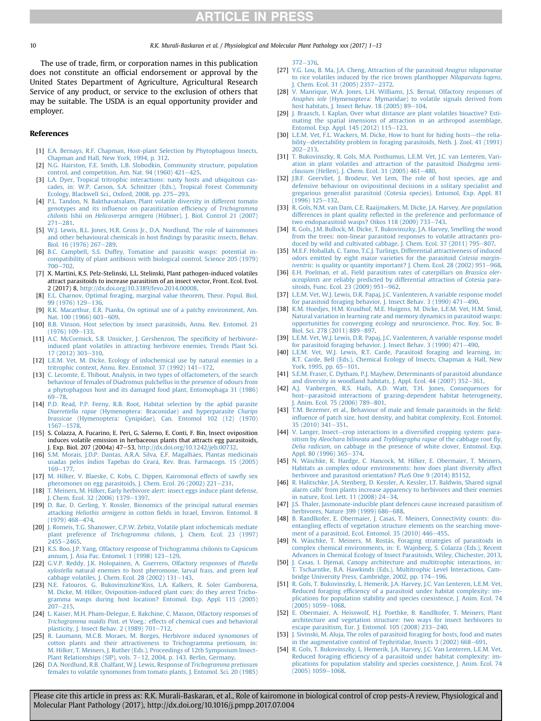<span id="page-9-0"></span>10 **R.K. Murali-Baskaran et al. / Physiological and Molecular Plant Pathology xxx (2017) 1–13** 

The use of trade, firm, or corporation names in this publication does not constitute an official endorsement or approval by the United States Department of Agriculture, Agricultural Research Service of any product, or service to the exclusion of others that may be suitable. The USDA is an equal opportunity provider and employer.

### References

- [1] [E.A. Bernays, R.F. Chapman, Host-plant Selection by Phytophagous Insects,](http://refhub.elsevier.com/S0885-5765(17)30149-2/sref1) [Chapman and Hall, New York, 1994, p. 312.](http://refhub.elsevier.com/S0885-5765(17)30149-2/sref1)
- [2] [N.G. Hairston, F.E. Smith, L.B. Slobodkin, Community structure, population](http://refhub.elsevier.com/S0885-5765(17)30149-2/sref2) control, and competition, Am. Nat. 94 (1960)  $421-425$  $421-425$ .
- [3] [L.A. Dyer, Tropical tritrophic interactions: nasty hosts and ubiquitous cas](http://refhub.elsevier.com/S0885-5765(17)30149-2/sref3)[cades, in: W.P. Carson, S.A. Schnitzer \(Eds.\), Tropical Forest Community](http://refhub.elsevier.com/S0885-5765(17)30149-2/sref3) [Ecology, Blackwell Sci., Oxford, 2008, pp. 275](http://refhub.elsevier.com/S0885-5765(17)30149-2/sref3)-[293](http://refhub.elsevier.com/S0885-5765(17)30149-2/sref3).
- [4] [P.L. Tandon, N. Bakthavatsalam, Plant volatile diversity in different tomato](http://refhub.elsevier.com/S0885-5765(17)30149-2/sref4) genotypes and its infl[uence on parasitization ef](http://refhub.elsevier.com/S0885-5765(17)30149-2/sref4)ficiency of Trichogramma chilonis Ishii on Helicoverpa armigera [\(Hübner\), J. Biol. Control 21 \(2007\)](http://refhub.elsevier.com/S0885-5765(17)30149-2/sref4)  $271 - 281.$  $271 - 281.$  $271 - 281.$  $271 - 281.$
- [5] [W.J. Lewis, R.L. Jones, H.R. Gross Jr., D.A. Nordlund, The role of kairomones](http://refhub.elsevier.com/S0885-5765(17)30149-2/sref5) [and other behavioural chemicals in host](http://refhub.elsevier.com/S0885-5765(17)30149-2/sref5) findings by parasitic insects, Behav. [Biol. 16 \(1976\) 267](http://refhub.elsevier.com/S0885-5765(17)30149-2/sref5)-[289](http://refhub.elsevier.com/S0885-5765(17)30149-2/sref5)
- [6] [B.C. Campbell, S.S. Duffey, Tomatine and parasitic wasps: potential in](http://refhub.elsevier.com/S0885-5765(17)30149-2/sref6)[compatibility of plant antibiosis with biological control, Science 205 \(1979\)](http://refhub.elsevier.com/S0885-5765(17)30149-2/sref6) [700](http://refhub.elsevier.com/S0885-5765(17)30149-2/sref6)-[702](http://refhub.elsevier.com/S0885-5765(17)30149-2/sref6).
- [7] X. Martini, K.S. Pelz-Stelinski, L.L. Stelinski, Plant pathogen-induced volatiles attract parasitoids to increase parasitism of an insect vector, Front. Ecol. Evol. 2 (2017) 8, [http://dx.doi.org/10.3389/fevo.2014.00008.](http://dx.doi.org/10.3389/fevo.2014.00008)
- [8] [E.L. Charnov, Optimal foraging, marginal value theorem, Theor. Popul. Biol.](http://refhub.elsevier.com/S0885-5765(17)30149-2/sref8) [99 \(1976\) 129](http://refhub.elsevier.com/S0885-5765(17)30149-2/sref8)-[136](http://refhub.elsevier.com/S0885-5765(17)30149-2/sref8)
- [9] [R.K. Macarthur, E.R. Pianka, On optimal use of a patchy environment, Am.](http://refhub.elsevier.com/S0885-5765(17)30149-2/sref9) [Nat. 100 \(1966\) 603](http://refhub.elsevier.com/S0885-5765(17)30149-2/sref9)-[609](http://refhub.elsevier.com/S0885-5765(17)30149-2/sref9).
- [10] [B.B. Vinson, Host selection by insect parasitoids, Annu. Rev. Entomol. 21](http://refhub.elsevier.com/S0885-5765(17)30149-2/sref10)  $(1976)$   $109 - 133$ .
- [11] [A.C. McCormick, S.B. Unsicker, J. Gershenzon, The speci](http://refhub.elsevier.com/S0885-5765(17)30149-2/sref11)ficity of herbivore[induced plant volatiles in attracting herbivore enemies, Trends Plant Sci.](http://refhub.elsevier.com/S0885-5765(17)30149-2/sref11)  $17 (2012)$  303-[310](http://refhub.elsevier.com/S0885-5765(17)30149-2/sref11).
- [12] [L.E.M. Vet, M. Dicke, Ecology of infochemical use by natural enemies in a](http://refhub.elsevier.com/S0885-5765(17)30149-2/sref12) tritrophic context, Annu. Rev. Entomol. 37 (1992)  $141-172$  $141-172$ .
- [13] [C. Lecomte, E. Thibout, Analysis, in two types of olfactometers, of the search](http://refhub.elsevier.com/S0885-5765(17)30149-2/sref13) [behaviour of females of Diadromus pulchellus in the presence of odours from](http://refhub.elsevier.com/S0885-5765(17)30149-2/sref13) [a phytophagous host and its damaged food plant, Entomophaga 31 \(1986\)](http://refhub.elsevier.com/S0885-5765(17)30149-2/sref13)  $69 - 78$  $69 - 78$
- [14] [P.D. Read, P.P. Feeny, R.B. Root, Habitat selection by the aphid parasite](http://refhub.elsevier.com/S0885-5765(17)30149-2/sref14) Diaeretiella rapae [\(Hymenoptera: Braconidae\) and hyperparasite](http://refhub.elsevier.com/S0885-5765(17)30149-2/sref14) Charips brassicae [\(Hymenoptera: Cynipidae\), Can. Entomol 102 \(12\) \(1970\)](http://refhub.elsevier.com/S0885-5765(17)30149-2/sref14) [1567](http://refhub.elsevier.com/S0885-5765(17)30149-2/sref14)-[1578.](http://refhub.elsevier.com/S0885-5765(17)30149-2/sref14)
- [15] S. Colazza, A. Fucarino, E. Peri, G. Salerno, E. Conti, F. Bin, Insect oviposition induces volatile emission in herbaceous plants that attracts egg parasitoids, J. Exp. Biol. 207 (2004a) 47-53, <http://dx.doi.org/10.1242/jeb.00732>.
- [16] [S.M. Morais, J.D.P. Dantas, A.R.A. Silva, E.F. Magalh](http://refhub.elsevier.com/S0885-5765(17)30149-2/sref16)ães, Plantas medicinais [usadas pelos índios Tapebas do Cear](http://refhub.elsevier.com/S0885-5765(17)30149-2/sref16)á[, Rev. Bras. Farmacogn. 15 \(2005\)](http://refhub.elsevier.com/S0885-5765(17)30149-2/sref16)  $169 - 177$  $169 - 177$  $169 - 177$
- [17] [M. Hilker, V. Blaeske, C. Kobs, C. Dippen, Kairomonal effects of saw](http://refhub.elsevier.com/S0885-5765(17)30149-2/sref17)fly sex [pheromones on egg parasitoids, J. Chem. Ecol. 26 \(2002\) 221](http://refhub.elsevier.com/S0885-5765(17)30149-2/sref17)-[231](http://refhub.elsevier.com/S0885-5765(17)30149-2/sref17).
- [18] [T. Meiners, M. Hilker, Early herbivore alert: insect eggs induce plant defense,](http://refhub.elsevier.com/S0885-5765(17)30149-2/sref18) [J. Chem. Ecol. 32 \(2006\) 1379](http://refhub.elsevier.com/S0885-5765(17)30149-2/sref18)-[1397](http://refhub.elsevier.com/S0885-5765(17)30149-2/sref18).
- [19] [D. Bar, D. Gerling, Y. Rossler, Bionomics of the principal natural enemies](http://refhub.elsevier.com/S0885-5765(17)30149-2/sref19) attacking Heliothis armigera in cotton fi[elds in Israel, Environ. Entomol. 8](http://refhub.elsevier.com/S0885-5765(17)30149-2/sref19)  $(1979)$   $468 - 474$
- [20] [J. Romeis, T.G. Shanower, C.P.W. Zebitz, Volatile plant infochemicals mediate](http://refhub.elsevier.com/S0885-5765(17)30149-2/sref20) plant preference of Trichogramma chilonis[, J. Chem. Ecol. 23 \(1997\)](http://refhub.elsevier.com/S0885-5765(17)30149-2/sref20) [2455](http://refhub.elsevier.com/S0885-5765(17)30149-2/sref20)-2465
- [21] [K.S. Boo, J.P. Yang, Olfactory response of Trichogramma chilonis to Capsicum](http://refhub.elsevier.com/S0885-5765(17)30149-2/sref21) [annum, J. Asia Pac. Entomol. 1 \(1998\) 123](http://refhub.elsevier.com/S0885-5765(17)30149-2/sref21)-[129.](http://refhub.elsevier.com/S0885-5765(17)30149-2/sref21)
- [22] [G.V.P. Reddy, J.K. Holopainen, A. Guerrero, Olfactory responses of](http://refhub.elsevier.com/S0885-5765(17)30149-2/sref22) Plutella xylostella [natural enemies to host pheromone, larval frass, and green leaf](http://refhub.elsevier.com/S0885-5765(17)30149-2/sref22) [cabbage volatiles, J. Chem. Ecol. 28 \(2002\) 131](http://refhub.elsevier.com/S0885-5765(17)30149-2/sref22)-[143](http://refhub.elsevier.com/S0885-5765(17)30149-2/sref22).
- [23] N.E. Fatouros, G. Bukovinszkine'[Kiss, L.A. Kalkers, R. Soler Gamborena,](http://refhub.elsevier.com/S0885-5765(17)30149-2/sref23) [M. Dicke, M. Hilker, Oviposition-induced plant cues: do they arrest Tricho](http://refhub.elsevier.com/S0885-5765(17)30149-2/sref23)[gramma wasps during host location? Entomol. Exp. Appl. 115 \(2005\)](http://refhub.elsevier.com/S0885-5765(17)30149-2/sref23)  $207 - 215$  $207 - 215$  $207 - 215$
- [24] [L. Kaiser, M.H. Pham-Delegue, E. Bakchine, C. Masson, Olfactory responses of](http://refhub.elsevier.com/S0885-5765(17)30149-2/sref24) Trichogramma maidis [Pint. et Voeg.: effects of chemical cues and behavioral](http://refhub.elsevier.com/S0885-5765(17)30149-2/sref24)<br>[plasticity, J. Insect Behav. 2 \(1989\) 701](http://refhub.elsevier.com/S0885-5765(17)30149-2/sref24)–[712.](http://refhub.elsevier.com/S0885-5765(17)30149-2/sref24)
- [25] [R. Laumann, M.C.B. Moraes, M. Borges, Herbivore induced synomones of](http://refhub.elsevier.com/S0885-5765(17)30149-2/sref25) [cotton plants and their attractiveness to Trichogramma pretiosum, in:](http://refhub.elsevier.com/S0885-5765(17)30149-2/sref25) [M. Hilker, T. Meiners, J. Ruther \(Eds.\), Proceedings of 12th Symposium Insect-](http://refhub.elsevier.com/S0885-5765(17)30149-2/sref25)[Plant Relationships \(SIP\), vols. 7](http://refhub.elsevier.com/S0885-5765(17)30149-2/sref25)-[12, 2004, p. 143. Berlin, Germany](http://refhub.elsevier.com/S0885-5765(17)30149-2/sref25).
- [26] [D.A. Nordlund, R.B. Chalfant, W.J. Lewis, Response of](http://refhub.elsevier.com/S0885-5765(17)30149-2/sref26) Trichogramma pretiosum [females to volatile synomones from tomato plants, J. Entomol. Sci. 20 \(1985\)](http://refhub.elsevier.com/S0885-5765(17)30149-2/sref26)

 $372 - 376.$  $372 - 376.$  $372 - 376.$  $372 - 376.$ 

- [27] [Y.G. Lou, B. Ma, J.A. Cheng, Attraction of the parasitoid](http://refhub.elsevier.com/S0885-5765(17)30149-2/sref27) Anagrus nilaparvatae [to rice volatiles induced by the rice brown planthopper](http://refhub.elsevier.com/S0885-5765(17)30149-2/sref27) Nilaparvata lugens, J. Chem. Ecol. 31 (2005)  $2357-2372$  $2357-2372$ .
- [28] [V. Manrique, W.A. Jones, L.H. Williams, J.S. Bernal, Olfactory responses of](http://refhub.elsevier.com/S0885-5765(17)30149-2/sref28) Anaphes iole [\(Hymenoptera: Mymaridae\) to volatile signals derived from](http://refhub.elsevier.com/S0885-5765(17)30149-2/sref28) host habitats, J. Insect Behav.  $18$  (2005) 89-[104.](http://refhub.elsevier.com/S0885-5765(17)30149-2/sref28)
- [29] [J. Braasch, I. Kaplan, Over what distance are plant volatiles bioactive? Esti](http://refhub.elsevier.com/S0885-5765(17)30149-2/sref29)mating the spatial imensions of attraction in an arthropod assemblage Entomol. Exp. Appl.  $145 (2012) 115-123$  $145 (2012) 115-123$ .
- [30] [L.E.M. Vet, F.L. Wackers, M. Dicke, How to hunt for hiding hosts](http://refhub.elsevier.com/S0885-5765(17)30149-2/sref30)-[the relia](http://refhub.elsevier.com/S0885-5765(17)30149-2/sref30)[bility](http://refhub.elsevier.com/S0885-5765(17)30149-2/sref30)-[detectability problem in foraging parasitoids, Neth. J. Zool. 41 \(1991\)](http://refhub.elsevier.com/S0885-5765(17)30149-2/sref30)  $202 - 213$  $202 - 213$  $202 - 213$ .
- [31] [T. Bukovinszky, R. Gols, M.A. Posthumus, L.E.M. Vet, J.C. van Lenteren, Vari](http://refhub.elsevier.com/S0885-5765(17)30149-2/sref31)[ation in plant volatiles and attraction of the parasitoid](http://refhub.elsevier.com/S0885-5765(17)30149-2/sref31) Diadegma semi $clausum$  [\(Hellen\), J. Chem. Ecol. 31 \(2005\) 461](http://refhub.elsevier.com/S0885-5765(17)30149-2/sref31)-[480](http://refhub.elsevier.com/S0885-5765(17)30149-2/sref31).
- [32] [J.B.F. Geervliet, J. Brodeur, Vet Lem, The role of host species, age and](http://refhub.elsevier.com/S0885-5765(17)30149-2/sref32) [defensive behaviour on ovipositional decisions in a solitary specialist and](http://refhub.elsevier.com/S0885-5765(17)30149-2/sref32) [gregarious generalist parasitoid \(Cotesia species\). Entomol, Exp. Appl. 81](http://refhub.elsevier.com/S0885-5765(17)30149-2/sref32)<br>[\(1996\) 125](http://refhub.elsevier.com/S0885-5765(17)30149-2/sref32)–[132.](http://refhub.elsevier.com/S0885-5765(17)30149-2/sref32)
- [33] [R. Gols, N.M. van Dam, C.E. Raaijmakers, M. Dicke, J.A. Harvey, Are population](http://refhub.elsevier.com/S0885-5765(17)30149-2/sref33) differences in plant quality refl[ected in the preference and performance of](http://refhub.elsevier.com/S0885-5765(17)30149-2/sref33) two endoparasitoid wasps? Oikos  $118$  (2009) 733-[743](http://refhub.elsevier.com/S0885-5765(17)30149-2/sref33).
- [34] [R. Gols, J.M. Bullock, M. Dicke, T. Bukovinszky, J.A. Harvey, Smelling the wood](http://refhub.elsevier.com/S0885-5765(17)30149-2/sref34) [from the trees: non-linear parasitoid responses to volatile attractants pro](http://refhub.elsevier.com/S0885-5765(17)30149-2/sref34)[duced by wild and cultivated cabbage, J. Chem. Ecol. 37 \(2011\) 795](http://refhub.elsevier.com/S0885-5765(17)30149-2/sref34)-[807](http://refhub.elsevier.com/S0885-5765(17)30149-2/sref34).
- [35] [M.E.F. Hoballah, C. Tamo, T.C.J. Turlings, Differential attractiveness of induced](http://refhub.elsevier.com/S0885-5765(17)30149-2/sref35) [odors emitted by eight maize varieties for the parasitoid](http://refhub.elsevier.com/S0885-5765(17)30149-2/sref35) Cotesia margin-iventris[: is quality or quantity important? J. Chem. Ecol. 28 \(2002\) 951](http://refhub.elsevier.com/S0885-5765(17)30149-2/sref35)-[968](http://refhub.elsevier.com/S0885-5765(17)30149-2/sref35).
- [36] [E.H. Poelman, et al., Field parasitism rates of caterpillars on](http://refhub.elsevier.com/S0885-5765(17)30149-2/sref36) Brassica oleraceaplants [are reliably predicted by differential attraction of Cotesia para](http://refhub.elsevier.com/S0885-5765(17)30149-2/sref36)[sitoids, Func. Ecol. 23 \(2009\) 951](http://refhub.elsevier.com/S0885-5765(17)30149-2/sref36)-[962](http://refhub.elsevier.com/S0885-5765(17)30149-2/sref36).
- [37] [L.E.M. Vet, W.J. Lewis, D.R. Papaj, J.C. Vanlenteren, A variable response model](http://refhub.elsevier.com/S0885-5765(17)30149-2/sref37) [for parasitoid foraging behavior, J. Insect Behav. 3 \(1990\) 471](http://refhub.elsevier.com/S0885-5765(17)30149-2/sref37)-[490](http://refhub.elsevier.com/S0885-5765(17)30149-2/sref37).
- [38] [K.M. Hoedjes, H.M. Kruidhof, M.E. Huigens, M. Dicke, L.E.M. Vet, H.M. Smid,](http://refhub.elsevier.com/S0885-5765(17)30149-2/sref38) [Natural variation in learning rate and memory dynamics in parasitoid wasps:](http://refhub.elsevier.com/S0885-5765(17)30149-2/sref38) [opportunities for converging ecology and neuroscience, Proc. Roy. Soc. B-](http://refhub.elsevier.com/S0885-5765(17)30149-2/sref38)[Biol. Sci. 278 \(2011\) 889](http://refhub.elsevier.com/S0885-5765(17)30149-2/sref38)-[897.](http://refhub.elsevier.com/S0885-5765(17)30149-2/sref38)
- [39] [L.E.M. Vet, W.J. Lewis, D.R. Papaj, J.C. Vanlenteren, A variable response model](http://refhub.elsevier.com/S0885-5765(17)30149-2/sref39) [for parasitoid foraging behavior, J. Insect Behav. 3 \(1990\) 471](http://refhub.elsevier.com/S0885-5765(17)30149-2/sref39)-[490](http://refhub.elsevier.com/S0885-5765(17)30149-2/sref39).
- [40] [L.E.M. Vet, W.J. Lewis, R.T. Carde, Parasitoid foraging and learning, in:](http://refhub.elsevier.com/S0885-5765(17)30149-2/sref40) [R.T. Carde, Bell \(Eds.\), Chemical Ecology of Insects, Chapman](http://refhub.elsevier.com/S0885-5765(17)30149-2/sref40) & [Hall, New](http://refhub.elsevier.com/S0885-5765(17)30149-2/sref40) [York, 1995, pp. 65](http://refhub.elsevier.com/S0885-5765(17)30149-2/sref40)-[101.](http://refhub.elsevier.com/S0885-5765(17)30149-2/sref40)
- [41] [S.E.M. Fraser, C. Dytham, P.J. Mayhew, Determinants of parasitoid abundance](http://refhub.elsevier.com/S0885-5765(17)30149-2/sref41) and diversity in woodland habitats, J. Appl. Ecol.  $44$  (2007) 352-[361](http://refhub.elsevier.com/S0885-5765(17)30149-2/sref41).
- [42] [A.J. Vanbergen, R.S. Hails, A.D. Watt, T.H. Jones, Consequences for](http://refhub.elsevier.com/S0885-5765(17)30149-2/sref42) [host](http://refhub.elsevier.com/S0885-5765(17)30149-2/sref42)-[parasitoid interactions of grazing-dependent habitat heterogeneity,](http://refhub.elsevier.com/S0885-5765(17)30149-2/sref42) [J. Anim. Ecol. 75 \(2006\) 789](http://refhub.elsevier.com/S0885-5765(17)30149-2/sref42)-[801](http://refhub.elsevier.com/S0885-5765(17)30149-2/sref42).
- [43] [T.M. Bezemer, et al., Behaviour of male and female parasitoids in the](http://refhub.elsevier.com/S0885-5765(17)30149-2/sref43) field: infl[uence of patch size, host density, and habitat complexity, Ecol. Entomol.](http://refhub.elsevier.com/S0885-5765(17)30149-2/sref43) [35 \(2010\) 341](http://refhub.elsevier.com/S0885-5765(17)30149-2/sref43)-[351](http://refhub.elsevier.com/S0885-5765(17)30149-2/sref43).
- [44] [V. Langer, Insect](http://refhub.elsevier.com/S0885-5765(17)30149-2/sref44)-[crop interactions in a diversi](http://refhub.elsevier.com/S0885-5765(17)30149-2/sref44)fied cropping system: parasitism by Aleochara bilineata and [Trybliographa rapae](http://refhub.elsevier.com/S0885-5765(17)30149-2/sref44) of the cabbage root fly, Delia radicum[, on cabbage in the presence of white clover, Entomol. Exp.](http://refhub.elsevier.com/S0885-5765(17)30149-2/sref44) [Appl. 80 \(1996\) 365](http://refhub.elsevier.com/S0885-5765(17)30149-2/sref44)-[374](http://refhub.elsevier.com/S0885-5765(17)30149-2/sref44).
- [45] [N. W](http://refhub.elsevier.com/S0885-5765(17)30149-2/sref45)ä[schke, K. Hardge, C. Hancock, M. Hilker, E. Obermaier, T. Meiners,](http://refhub.elsevier.com/S0885-5765(17)30149-2/sref45) [Habitats as complex odour environments: how does plant diversity affect](http://refhub.elsevier.com/S0885-5765(17)30149-2/sref45) [herbivore and parasitoid orientation? PLoS One 9 \(2014\) 85152.](http://refhub.elsevier.com/S0885-5765(17)30149-2/sref45)
- [46] [R. Halitschke, J.A. Stenberg, D. Kessler, A. Kessler, I.T. Baldwin, Shared signal](http://refhub.elsevier.com/S0885-5765(17)30149-2/sref46) [alarm calls' from plants increase apparency to herbivores and their enemies](http://refhub.elsevier.com/S0885-5765(17)30149-2/sref46) in nature, Ecol. Lett.  $11$  (2008)  $24 - 34$  $24 - 34$ .
- [47] [J.S. Thaler, Jasmonate-inducible plant defences cause increased parasitism of](http://refhub.elsevier.com/S0885-5765(17)30149-2/sref47) [herbivores, Nature 399 \(1999\) 686](http://refhub.elsevier.com/S0885-5765(17)30149-2/sref47)-[688](http://refhub.elsevier.com/S0885-5765(17)30149-2/sref47).
- [48] [B. Randlkofer, E. Obermaier, J. Casas, T. Meiners, Connectivity counts: dis](http://refhub.elsevier.com/S0885-5765(17)30149-2/sref48)[entangling effects of vegetation structure elements on the searching move](http://refhub.elsevier.com/S0885-5765(17)30149-2/sref48)[ment of a parasitoid, Ecol. Entomol. 35 \(2010\) 446](http://refhub.elsevier.com/S0885-5765(17)30149-2/sref48)-[455.](http://refhub.elsevier.com/S0885-5765(17)30149-2/sref48)
- [49] [N. W](http://refhub.elsevier.com/S0885-5765(17)30149-2/sref49)äschke, T. Meiners, M. Rostás, Foraging strategies of parasitoids in [complex chemical environments, in: E. Wajnberg, S. Colazza \(Eds.\), Recent](http://refhub.elsevier.com/S0885-5765(17)30149-2/sref49) [Advances in Chemical Ecology of Insect Parasitoids, Wiley, Chichester, 2013](http://refhub.elsevier.com/S0885-5765(17)30149-2/sref49).
- [50] [J. Casas, I. Djemai, Canopy architecture and multitrophic interactions, in:](http://refhub.elsevier.com/S0885-5765(17)30149-2/sref50) [T. Tscharntke, B.A. Hawkinds \(Eds.\), Multitrophic Level Interactions, Cam](http://refhub.elsevier.com/S0885-5765(17)30149-2/sref50)[bridge University Press, Cambridge, 2002, pp. 174](http://refhub.elsevier.com/S0885-5765(17)30149-2/sref50)-[196.](http://refhub.elsevier.com/S0885-5765(17)30149-2/sref50)
- [51] [R. Gols, T. Bukovinszky, L. Hemerik, J.A. Harvey, J.C. Van Lenteren, L.E.M. Vet,](http://refhub.elsevier.com/S0885-5765(17)30149-2/sref51) Reduced foraging effi[ciency of a parasitoid under habitat complexity: im](http://refhub.elsevier.com/S0885-5765(17)30149-2/sref51)[plications for population stability and species coexistence, J. Anim. Ecol. 74](http://refhub.elsevier.com/S0885-5765(17)30149-2/sref51)  $(2005)$  1059-[1068](http://refhub.elsevier.com/S0885-5765(17)30149-2/sref51).
- [52] [E. Obermaier, A. Heisswolf, H.J. Poethke, B. Randlkofer, T. Meiners, Plant](http://refhub.elsevier.com/S0885-5765(17)30149-2/sref52) [architecture and vegetation structure: two ways for insect herbivores to](http://refhub.elsevier.com/S0885-5765(17)30149-2/sref52) escape parasitism, Eur. J. Entomol.  $105$  (2008)  $233-240$  $233-240$ .
- [53] [J. Sivinski, M. Aluja, The roles of parasitoid foraging for hosts, food and mates](http://refhub.elsevier.com/S0885-5765(17)30149-2/sref53) [in the augmentative control of Tephritidae, Insects 3 \(2002\) 668](http://refhub.elsevier.com/S0885-5765(17)30149-2/sref53)-[691](http://refhub.elsevier.com/S0885-5765(17)30149-2/sref53).
- [54] [R. Gols, T. Bukovinszky, L. Hemerik, J.A. Harvey, J.C. Van Lenteren, L.E.M. Vet,](http://refhub.elsevier.com/S0885-5765(17)30149-2/sref54) Reduced foraging effi[ciency of a parasitoid under habitat complexity: im](http://refhub.elsevier.com/S0885-5765(17)30149-2/sref54)[plications for population stability and species coexistence, J. Anim. Ecol. 74](http://refhub.elsevier.com/S0885-5765(17)30149-2/sref54)  $(2005)$  1059-[1068](http://refhub.elsevier.com/S0885-5765(17)30149-2/sref54).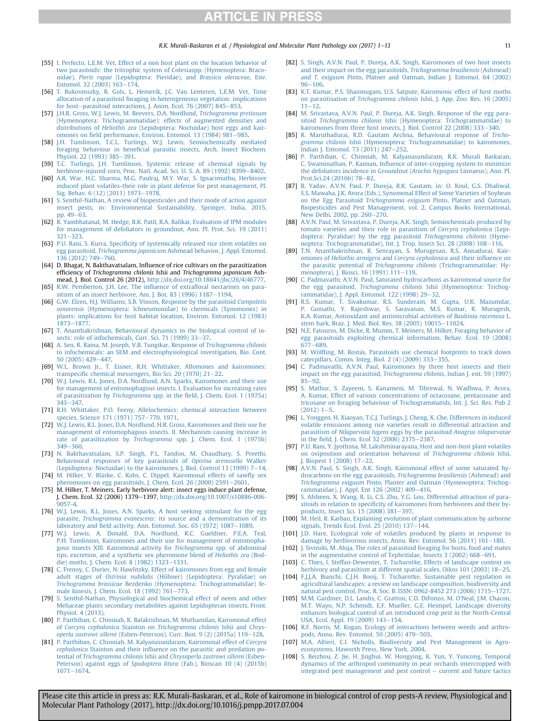R.K. Murali-Baskaran et al. / Physiological and Molecular Plant Pathology xxx (2017) 1–13 11

- <span id="page-10-0"></span>[55] [I. Perfecto, L.E.M. Vet, Effect of a non host plant on the location behavior of](http://refhub.elsevier.com/S0885-5765(17)30149-2/sref55) [two parasitoids: the tritrophic system of Cotesiaspp. \(Hymenoptera: Braco](http://refhub.elsevier.com/S0885-5765(17)30149-2/sref55)nidae), Pieris rapae [\(Lepidoptera: Pieridae\), and](http://refhub.elsevier.com/S0885-5765(17)30149-2/sref55) Brassica oleraceae, Env. Entomol. 32 (2003)  $163 - 174$  $163 - 174$ .
- [56] [T. Bukovinszky, R. Gols, L. Hemerik, J.C. Van Lenteren, L.E.M. Vet, Time](http://refhub.elsevier.com/S0885-5765(17)30149-2/sref56) [allocation of a parasitoid foraging in heterogeneous vegetation: implications](http://refhub.elsevier.com/S0885-5765(17)30149-2/sref56) [for host](http://refhub.elsevier.com/S0885-5765(17)30149-2/sref56)-[parasitoid interactions, J. Anim. Ecol. 76 \(2007\) 845](http://refhub.elsevier.com/S0885-5765(17)30149-2/sref56)-[853](http://refhub.elsevier.com/S0885-5765(17)30149-2/sref56).
- [57] [J.H.R. Gross, W.J. Lewis, M. Beevers, D.A. Nordlund,](http://refhub.elsevier.com/S0885-5765(17)30149-2/sref57) Trichogramma pretiosum [\(Hymenoptera: Trichogrammatidae\): effects of augmented densities and](http://refhub.elsevier.com/S0885-5765(17)30149-2/sref57) distributions of Heliothis zea [\(Lepidoptera: Noctuidae\) host eggs and kair](http://refhub.elsevier.com/S0885-5765(17)30149-2/sref57)omones on fi[eld performance, Environ. Entomol. 13 \(1984\) 981](http://refhub.elsevier.com/S0885-5765(17)30149-2/sref57)-[985.](http://refhub.elsevier.com/S0885-5765(17)30149-2/sref57)
- [58] [J.H. Tumlinson, T.C.L. Turlings, W.J. Lewis, Semiochemically mediated](http://refhub.elsevier.com/S0885-5765(17)30149-2/sref58) foraging behaviour in benefi[cial parasitic insects, Arch. Insect Biochem.](http://refhub.elsevier.com/S0885-5765(17)30149-2/sref58) [Physiol. 22 \(1993\) 385](http://refhub.elsevier.com/S0885-5765(17)30149-2/sref58)-[391.](http://refhub.elsevier.com/S0885-5765(17)30149-2/sref58)
- [59] [T.C. Turlings, J.H. Tumlinson, Systemic release of chemical signals by](http://refhub.elsevier.com/S0885-5765(17)30149-2/sref59) [herbivore-injured corn, Proc. Natl. Acad. Sci. U. S. A. 89 \(1992\) 8399](http://refhub.elsevier.com/S0885-5765(17)30149-2/sref59)-[8402.](http://refhub.elsevier.com/S0885-5765(17)30149-2/sref59)
- [60] [A.R. War, H.C. Sharma, M.G. Paulraj, M.Y. War, S. Ignacimuthu, Herbivore](http://refhub.elsevier.com/S0885-5765(17)30149-2/sref60) [induced plant volatiles-their role in plant defense for pest management, Pl.](http://refhub.elsevier.com/S0885-5765(17)30149-2/sref60) [Sig. Behav. 6 \(12\) \(2011\) 1973](http://refhub.elsevier.com/S0885-5765(17)30149-2/sref60)-[1978](http://refhub.elsevier.com/S0885-5765(17)30149-2/sref60).
- [61] [S. Senthil-Nathan, A review of biopesticides and their mode of action against](http://refhub.elsevier.com/S0885-5765(17)30149-2/sref61) [insect pests, in: Environmental Sustainability, Springer, India, 2015,](http://refhub.elsevier.com/S0885-5765(17)30149-2/sref61) [pp. 49](http://refhub.elsevier.com/S0885-5765(17)30149-2/sref61)-[63](http://refhub.elsevier.com/S0885-5765(17)30149-2/sref61).
- [62] [R. Yambhatanal, M. Hedge, R.K. Patil, R.A. Balikai, Evaluation of IPM modules](http://refhub.elsevier.com/S0885-5765(17)30149-2/sref62) [for management of defoliators in groundnut, Ann. Pl. Prot. Sci. 19 \(2011\)](http://refhub.elsevier.com/S0885-5765(17)30149-2/sref62) [321](http://refhub.elsevier.com/S0885-5765(17)30149-2/sref62)-[323](http://refhub.elsevier.com/S0885-5765(17)30149-2/sref62)
- [63] P.U. Rani, S. Kurra, Specifi[city of systemically released rice stem volatiles on](http://refhub.elsevier.com/S0885-5765(17)30149-2/sref63) egg parasitoid, Trichogramma japonicum [Ashmead behavior, J. Appl. Entomol.](http://refhub.elsevier.com/S0885-5765(17)30149-2/sref63)<br>[136 \(2012\) 749](http://refhub.elsevier.com/S0885-5765(17)30149-2/sref63)–[760.](http://refhub.elsevier.com/S0885-5765(17)30149-2/sref63)
- [64] D. Bhagat, N. Bakthavatsalam, Influence of rice cultivars on the parasitization efficiency of Trichogramma chilonis Ishii and Trichogramma japonicum Ashmead, J. Biol. Control 26 (2012), [http://dx.doi.org/10.18641/jbc/26/4/46777.](http://dx.doi.org/10.18641/jbc/26/4/46777)
- [65] [R.W. Pemberton, J.H. Lee, The in](http://refhub.elsevier.com/S0885-5765(17)30149-2/sref65)fluence of extrafloral nectarines on para[sitism of an insect herbivore, Am. J. Bot. 83 \(1996\) 1187](http://refhub.elsevier.com/S0885-5765(17)30149-2/sref65)-[1194.](http://refhub.elsevier.com/S0885-5765(17)30149-2/sref65)
- [66] [G.W. Elzen, H.J. Williams, S.B. Vinson, Response by the parasitoid](http://refhub.elsevier.com/S0885-5765(17)30149-2/sref66) Campoletis sonorensis [\(Hymenoptera: lchneumonidae\) to chemicals \(Synomones\) in](http://refhub.elsevier.com/S0885-5765(17)30149-2/sref66) [plants: implications for host habitat location, Environ. Entomol. 12 \(1983\)](http://refhub.elsevier.com/S0885-5765(17)30149-2/sref66) [1873](http://refhub.elsevier.com/S0885-5765(17)30149-2/sref66)-[1877.](http://refhub.elsevier.com/S0885-5765(17)30149-2/sref66)
- [67] [T. Ananthakrishnan, Behavioural dynamics in the biological control of in](http://refhub.elsevier.com/S0885-5765(17)30149-2/sref67)[sects: role of infochemicals, Curr. Sci. 71 \(1999\) 33](http://refhub.elsevier.com/S0885-5765(17)30149-2/sref67)-[37.](http://refhub.elsevier.com/S0885-5765(17)30149-2/sref67)
- [68] [A. Sen, R. Raina, M. Joseph, V.B. Tungikar, Response of](http://refhub.elsevier.com/S0885-5765(17)30149-2/sref68) Trichogramma chilonis [to infochemicals: an SEM and electrophysiological investigation, Bio. Cont.](http://refhub.elsevier.com/S0885-5765(17)30149-2/sref68) [50 \(2005\) 429](http://refhub.elsevier.com/S0885-5765(17)30149-2/sref68)-[447](http://refhub.elsevier.com/S0885-5765(17)30149-2/sref68).
- [69] [W.L. Brown Jr., T. Eisner, R.H. Whittaker, Allomones and kairomones:](http://refhub.elsevier.com/S0885-5765(17)30149-2/sref69) transpecifi[c chemical messengers, Bio Sci. 20 \(1970\) 21](http://refhub.elsevier.com/S0885-5765(17)30149-2/sref69)-[22](http://refhub.elsevier.com/S0885-5765(17)30149-2/sref69).
- [70] [W.J. Lewis, R.L. Jones, D.A. Nordlund, A.N. Sparks, Kairomones and their use](http://refhub.elsevier.com/S0885-5765(17)30149-2/sref70) [for management of entomophagous insects. I. Evaluation for increasing rates](http://refhub.elsevier.com/S0885-5765(17)30149-2/sref70) of parasitization by Trichogramma spp. in the fi[eld, J. Chem. Ecol. 1 \(1975a\)](http://refhub.elsevier.com/S0885-5765(17)30149-2/sref70)  $343 - 347$  $343 - 347$  $343 - 347$
- [71] [R.H. Whittaker, P.O. Feeny, Allelochemics: chemical interaction between](http://refhub.elsevier.com/S0885-5765(17)30149-2/sref71) [species, Science 171 \(1971\) 757](http://refhub.elsevier.com/S0885-5765(17)30149-2/sref71)–[770, 1971.](http://refhub.elsevier.com/S0885-5765(17)30149-2/sref71)
- [72] [W.J. Lewis, R.L. Jones, D.A. Nordlund, H.R. Gross, Kairomones and their use for](http://refhub.elsevier.com/S0885-5765(17)30149-2/sref72) [management of entomophagous insects. II. Mechanism causing increase in](http://refhub.elsevier.com/S0885-5765(17)30149-2/sref72) rate of parasitization by Trichogramma [spp, J. Chem. Ecol. 1 \(1975b\)](http://refhub.elsevier.com/S0885-5765(17)30149-2/sref72) [349](http://refhub.elsevier.com/S0885-5765(17)30149-2/sref72)-[360](http://refhub.elsevier.com/S0885-5765(17)30149-2/sref72).
- [73] [N. Bakthavatsalam, S.P. Singh, P.L. Tandon, M. Chaudhary, S. Preethi,](http://refhub.elsevier.com/S0885-5765(17)30149-2/sref73) [Behavioural responses of key parasitoids of](http://refhub.elsevier.com/S0885-5765(17)30149-2/sref73) Opisina arenosella Walker [\(Lepidoptera: Noctuidae\) to the kairomones, J. Biol. Control 13 \(1999\) 7](http://refhub.elsevier.com/S0885-5765(17)30149-2/sref73)-[14](http://refhub.elsevier.com/S0885-5765(17)30149-2/sref73).
- [74] [M. Hilker, V. Bl](http://refhub.elsevier.com/S0885-5765(17)30149-2/sref74)ä[ske, C. Kobs, C. Dippel, Kairomonal effects of saw](http://refhub.elsevier.com/S0885-5765(17)30149-2/sref74)fly sex [pheromones on egg parasitoids, J. Chem. Ecol. 26 \(2000\) 2591](http://refhub.elsevier.com/S0885-5765(17)30149-2/sref74)-[2601.](http://refhub.elsevier.com/S0885-5765(17)30149-2/sref74)
- [75] M. Hilker, T. Meiners, Early herbivore alert: insect eggs induce plant defense, J. Chem. Ecol. 32 (2006) 1379-1397, [http://dx.doi.org/10.1007/s10886-006-](http://dx.doi.org/10.1007/s10886-006-9057-4) [9057-4](http://dx.doi.org/10.1007/s10886-006-9057-4).
- [76] [W.J. Lewis, R.L. Jones, A.N. Sparks, A host seeking stimulant for the egg](http://refhub.elsevier.com/S0885-5765(17)30149-2/sref76) parasite, Trichogramma evanescens[: its source and a demonstration of its](http://refhub.elsevier.com/S0885-5765(17)30149-2/sref76) laboratory and fi[eld activity, Ann. Entomol. Soc. 65 \(1972\) 1087](http://refhub.elsevier.com/S0885-5765(17)30149-2/sref76)-[1089.](http://refhub.elsevier.com/S0885-5765(17)30149-2/sref76)
- [77] [W.J. Lewis, A. Donald, D.A. Nordlund, R.C. Gueldner, P.E.A. Teal,](http://refhub.elsevier.com/S0885-5765(17)30149-2/sref77) [P.H. Tumlinson, Kairomones and their use for management of entomopha](http://refhub.elsevier.com/S0885-5765(17)30149-2/sref77)[gous insects XIII. Kairomonal activity for](http://refhub.elsevier.com/S0885-5765(17)30149-2/sref77) Trichogramma spp. of abdominal [tips, excretion, and a synthetic sex pheromone blend of](http://refhub.elsevier.com/S0885-5765(17)30149-2/sref77) Heliothis zea (Bod[die\) moths, J. Chem. Ecol. 8 \(1982\) 1323](http://refhub.elsevier.com/S0885-5765(17)30149-2/sref77)-[1331.](http://refhub.elsevier.com/S0885-5765(17)30149-2/sref77)
- [78] [C. Frenoy, C. Durier, N. Hawlitzky, Effect of kairomones from egg and female](http://refhub.elsevier.com/S0885-5765(17)30149-2/sref78) adult stages of Ostrinia nubilalis [\(Hübner\) \(Lepidoptera: Pyralidae\) on](http://refhub.elsevier.com/S0885-5765(17)30149-2/sref78) Trichogramma brassicae [Bezdenko \(Hymenoptera: Trichogrammatidae\) fe](http://refhub.elsevier.com/S0885-5765(17)30149-2/sref78)[male kinesis, J. Chem. Ecol. 18 \(1992\) 761](http://refhub.elsevier.com/S0885-5765(17)30149-2/sref78)-[773.](http://refhub.elsevier.com/S0885-5765(17)30149-2/sref78)
- [79] [S. Senthil-Nathan, Physiological and biochemical effect of neem and other](http://refhub.elsevier.com/S0885-5765(17)30149-2/sref79) [Meliaceae plants secondary metabolites against Lepidopteran insects, Front.](http://refhub.elsevier.com/S0885-5765(17)30149-2/sref79) [Physiol. 4 \(2013\).](http://refhub.elsevier.com/S0885-5765(17)30149-2/sref79)
- [80] [P. Parthiban, C. Chinniah, K. Balakrishnan, M. Muthamilan, Kairomonal effect](http://refhub.elsevier.com/S0885-5765(17)30149-2/sref80) of Corcyra cephalonica Stainton on [Trichogramma chilonis](http://refhub.elsevier.com/S0885-5765(17)30149-2/sref80) Ishii and Chrys-operla zastrowi sillemi [\(Esben-Peterson\), Curr. Biot. 9 \(2\) \(2015a\) 119](http://refhub.elsevier.com/S0885-5765(17)30149-2/sref80)-[128](http://refhub.elsevier.com/S0885-5765(17)30149-2/sref80).
- [81] [P. Parthiban, C. Chinniah, M. Kalyanasundaram, Kairomonal effect of](http://refhub.elsevier.com/S0885-5765(17)30149-2/sref81) Corcyra cephalonica Stainton and their infl[uence on the parasitic and predation po](http://refhub.elsevier.com/S0885-5765(17)30149-2/sref81)tential of Trichogramma chilonis Ishii and [Chrysoperla zastrowi sillemi](http://refhub.elsevier.com/S0885-5765(17)30149-2/sref81) (Esben-Peterson) against eggs of Spodoptera litura [\(Fab.\), Bioscan 10 \(4\) \(2015b\)](http://refhub.elsevier.com/S0885-5765(17)30149-2/sref81) [1671](http://refhub.elsevier.com/S0885-5765(17)30149-2/sref81)-[1674.](http://refhub.elsevier.com/S0885-5765(17)30149-2/sref81)
- [82] [S. Singh, A.V.N. Paul, P. Dureja, A.K. Singh, Kairomones of two host insects](http://refhub.elsevier.com/S0885-5765(17)30149-2/sref82) [and their impact on the egg parasitoids,](http://refhub.elsevier.com/S0885-5765(17)30149-2/sref82) Trichogramma brasiliensis (Ashmead) and T. exiguum [Pinto, Platner and Oatman, Indian J. Entomol. 64 \(2002\)](http://refhub.elsevier.com/S0885-5765(17)30149-2/sref82)  $96 - 106.$  $96 - 106.$  $96 - 106.$  $96 - 106.$
- [83] [K.T. Kumar, P.S. Shanmugam, U.S. Satpute, Kairomonic effect of host moths](http://refhub.elsevier.com/S0885-5765(17)30149-2/sref83) on parasitisation of Trichogramma chilonis [Ishii, J. App. Zoo. Res. 16 \(2005\)](http://refhub.elsevier.com/S0885-5765(17)30149-2/sref83)  $11 - 12$  $11 - 12$  $11 - 12$ .
- [84] [M. Srivastava, A.V.N. Paul, P. Dureja, A.K. Singh, Response of the egg para](http://refhub.elsevier.com/S0885-5765(17)30149-2/sref84)sitoid Trichogramma chilonis [Ishii \(Hymenoptera: Trichogrammatidae\) to](http://refhub.elsevier.com/S0885-5765(17)30149-2/sref84) [kairomones from three host insects, J. Biol. Control 22 \(2008\) 333](http://refhub.elsevier.com/S0885-5765(17)30149-2/sref84)-[340](http://refhub.elsevier.com/S0885-5765(17)30149-2/sref84).
- [85] [R. Maruthadurai, R.D. Gautam Archna, Behavioural response of](http://refhub.elsevier.com/S0885-5765(17)30149-2/sref85) Trichogramma chilonis [Ishii \(Hymenoptera: Trichogrammatidae\) to kairomones,](http://refhub.elsevier.com/S0885-5765(17)30149-2/sref85) [Indian J. Entomol. 73 \(2011\) 247](http://refhub.elsevier.com/S0885-5765(17)30149-2/sref85)-[252.](http://refhub.elsevier.com/S0885-5765(17)30149-2/sref85)
- [86] [P. Parthiban, C. Chinniah, M. Kalyanasundaram, R.K. Murali Baskaran,](http://refhub.elsevier.com/S0885-5765(17)30149-2/sref86) C. Swaminathan, P. Kannan, Infl[uence of inter-cropping system to minimize](http://refhub.elsevier.com/S0885-5765(17)30149-2/sref86) [the defoliators incidence in Groundnut \(](http://refhub.elsevier.com/S0885-5765(17)30149-2/sref86)Arachis hypogaea Linnaeus), Ann. Pl. [Prot.Sci.24 \(2016b\) 78](http://refhub.elsevier.com/S0885-5765(17)30149-2/sref86)-[82](http://refhub.elsevier.com/S0885-5765(17)30149-2/sref86).
- [87] [B. Yadav, A.V.N. Paul, P. Dureja, R.K. Gautam, in: O. Koul, G.S. Dhaliwal,](http://refhub.elsevier.com/S0885-5765(17)30149-2/sref87) [S.S. Mawaha, J.K. Arora \(Eds.\), Synomonal Effect of Some Varieties of Soybean](http://refhub.elsevier.com/S0885-5765(17)30149-2/sref87) on the Egg Parasitoid Trichogramma exiguum [Pinto, Platner and Oatman,](http://refhub.elsevier.com/S0885-5765(17)30149-2/sref87) [Biopesticides and Pest Management, vol. 2, Campus Books International,](http://refhub.elsevier.com/S0885-5765(17)30149-2/sref87) [New Delhi, 2002, pp. 260](http://refhub.elsevier.com/S0885-5765(17)30149-2/sref87)-[270](http://refhub.elsevier.com/S0885-5765(17)30149-2/sref87).
- [88] [A.V.N. Paul, M. Srivastava, P. Dureja, A.K. Singh, Semiochemicals produced by](http://refhub.elsevier.com/S0885-5765(17)30149-2/sref88) [tomato varieties and their role in parasitism of](http://refhub.elsevier.com/S0885-5765(17)30149-2/sref88) Corcyra cephalonica (Lepi[doptera: Pyralidae\) by the egg parasitoid](http://refhub.elsevier.com/S0885-5765(17)30149-2/sref88) Trichogramma chilonis (Hyme[noptera: Trichogrammatidae\), Int. J. Trop. Insect Sci. 28 \(2008\) 108](http://refhub.elsevier.com/S0885-5765(17)30149-2/sref88)-[116.](http://refhub.elsevier.com/S0885-5765(17)30149-2/sref88)
- [89] [T.N. Ananthakrishnan, R. Senrayan, S. Murugesan, R.S. Annadurai, Kair](http://refhub.elsevier.com/S0885-5765(17)30149-2/sref89)omones of Heliothis armigera and [Corcyra cephalonica](http://refhub.elsevier.com/S0885-5765(17)30149-2/sref89) and their influence on the parasitic potential of Trichogramma chilonis [\(Trichogrammatidae: Hy](http://refhub.elsevier.com/S0885-5765(17)30149-2/sref89)[menoptera\), J. Biosci. 16 \(1991\) 111](http://refhub.elsevier.com/S0885-5765(17)30149-2/sref89)-[119](http://refhub.elsevier.com/S0885-5765(17)30149-2/sref89).
- [90] [C. Padmavathi, A.V.N. Paul, Saturated hydrocarbons as kairomonal source for](http://refhub.elsevier.com/S0885-5765(17)30149-2/sref90) the egg parasitoid, Trichogramma chilonis [Ishii \(Hymenoptera: Trichog](http://refhub.elsevier.com/S0885-5765(17)30149-2/sref90)[rammatidae\), J. Appl. Entomol. 122 \(1998\) 29](http://refhub.elsevier.com/S0885-5765(17)30149-2/sref90)-[32](http://refhub.elsevier.com/S0885-5765(17)30149-2/sref90).
- [91] [R.S. Kumar, T. Sivakumar, R.S. Sunderam, M. Gupta, U.K. Mazumdar,](http://refhub.elsevier.com/S0885-5765(17)30149-2/sref91) [P. Gomathi, Y. Rajeshwar, S. Saravanan, M.S. Kumar, K. Murugesh,](http://refhub.elsevier.com/S0885-5765(17)30149-2/sref91) [K.A. Kumar, Antioxidant and antimicrobial activities of](http://refhub.elsevier.com/S0885-5765(17)30149-2/sref91) Bauhinia racemosa L. [stem bark, Braz. J. Med. Biol. Res. 38 \(2005\) 10015](http://refhub.elsevier.com/S0885-5765(17)30149-2/sref91)-[11024](http://refhub.elsevier.com/S0885-5765(17)30149-2/sref91).
- [92] [N.E. Fatouros, M. Dicke, R. Mumm, T. Meiners, M. Hilker, Foraging behavior of](http://refhub.elsevier.com/S0885-5765(17)30149-2/sref92) [egg parasitoids exploiting chemical information, Behav. Ecol. 19 \(2008\)](http://refhub.elsevier.com/S0885-5765(17)30149-2/sref92) [677](http://refhub.elsevier.com/S0885-5765(17)30149-2/sref92)-[689](http://refhub.elsevier.com/S0885-5765(17)30149-2/sref92).
- [93] M. Wölfl[ing, M. Rost](http://refhub.elsevier.com/S0885-5765(17)30149-2/sref93)ás, Parasitoids use chemical footprints to track down [caterpillars, Comm. Integ. Biol. 2 \(4\) \(2009\) 353](http://refhub.elsevier.com/S0885-5765(17)30149-2/sref93)-[355.](http://refhub.elsevier.com/S0885-5765(17)30149-2/sref93)
- [94] [C. Padmavathi, A.V.N. Paul, Kairomones by three host insects and their](http://refhub.elsevier.com/S0885-5765(17)30149-2/sref94) [impact on the egg parasitoid,](http://refhub.elsevier.com/S0885-5765(17)30149-2/sref94) Trichogramma chilonis, Indian J. ent. 59 (1997)  $85 - 92$  $85 - 92$  $85 - 92$
- [95] [S. Mathur, S. Zayeem, S. Kanameni, M. Tibrewal, N. Wadhwa, P. Arora,](http://refhub.elsevier.com/S0885-5765(17)30149-2/sref95) [A. Kumar, Effect of various concentrations of octacosane, pentacosane and](http://refhub.elsevier.com/S0885-5765(17)30149-2/sref95) [tricosane on foraging behaviour of Trichogrammatids, Int. J. Sci. Res. Pub 2](http://refhub.elsevier.com/S0885-5765(17)30149-2/sref95)  $(2012)$  1-[5](http://refhub.elsevier.com/S0885-5765(17)30149-2/sref95)
- [96] [L. Yonggen, H. Xiaoyan, T.C.J. Turlings, J. Cheng, X. Che, Differences in induced](http://refhub.elsevier.com/S0885-5765(17)30149-2/sref96) [volatile emissions among rice varieties result in differential attraction and](http://refhub.elsevier.com/S0885-5765(17)30149-2/sref96) parasitism of Nilaparvata lugens [eggs by the parasitoid](http://refhub.elsevier.com/S0885-5765(17)30149-2/sref96) Anagrus nilaparvatae in the fi[eld, J. Chem. Ecol 32 \(2006\) 2375](http://refhub.elsevier.com/S0885-5765(17)30149-2/sref96)-[2387.](http://refhub.elsevier.com/S0885-5765(17)30149-2/sref96)
- [97] [P.U. Rani, Y. Jyothsna, M. Lakshminarayana, Host and non-host plant volatiles](http://refhub.elsevier.com/S0885-5765(17)30149-2/sref97) [on oviposition and orientation behaviour of](http://refhub.elsevier.com/S0885-5765(17)30149-2/sref97) Trichogramma chilonis Ishii, [J. Biopest 1 \(2008\) 17](http://refhub.elsevier.com/S0885-5765(17)30149-2/sref97)-[22.](http://refhub.elsevier.com/S0885-5765(17)30149-2/sref97)
- [98] [A.V.N. Paul, S. Singh, A.K. Singh, Kairomonal effect of some saturated hy](http://refhub.elsevier.com/S0885-5765(17)30149-2/sref98)[drocarbons on the egg parasitoids,](http://refhub.elsevier.com/S0885-5765(17)30149-2/sref98) Trichogramma brasiliensis (Ashmead) and Trichogramma exiguum [Pinto, Planter and Oatman \(Hymenoptera: Trichog](http://refhub.elsevier.com/S0885-5765(17)30149-2/sref98)[rammatidae\), J. Appl. Ent 126 \(2002\) 409](http://refhub.elsevier.com/S0885-5765(17)30149-2/sref98)-[416.](http://refhub.elsevier.com/S0885-5765(17)30149-2/sref98)
- [99] [S. Afsheen, X. Wang, R. Li, C.S. Zhu, Y.G. Lou, Differential attraction of para](http://refhub.elsevier.com/S0885-5765(17)30149-2/sref99)sitoids in relation to specifi[city of kairomones from herbivores and their by](http://refhub.elsevier.com/S0885-5765(17)30149-2/sref99)[products, Insect Sci. 15 \(2008\) 381](http://refhub.elsevier.com/S0885-5765(17)30149-2/sref99)-[397.](http://refhub.elsevier.com/S0885-5765(17)30149-2/sref99)
- [100] [M. Heil, R. Karban, Explaining evolution of plant communication by airborne](http://refhub.elsevier.com/S0885-5765(17)30149-2/sref100) signals, Trends Ecol. Evol.  $25(2010)$  137-[144.](http://refhub.elsevier.com/S0885-5765(17)30149-2/sref100)
- [101] [J.D. Hare, Ecological role of volatiles produced by plants in response to](http://refhub.elsevier.com/S0885-5765(17)30149-2/sref101) damage by herbivorous insects, Annu. Rev. Entomol. 56 (2011)  $161-180$  $161-180$ .
- [102] [J. Sivinski, M. Aluja, The roles of parasitoid foraging for hosts, food and mates](http://refhub.elsevier.com/S0885-5765(17)30149-2/sref102) in the augmentative control of Tephritidae, Insects  $3(2002)$  668-[691](http://refhub.elsevier.com/S0885-5765(17)30149-2/sref102).
- [103] [C. Thies, I. Steffan-Dewenter, T. Tscharntke, Effects of landscape context on](http://refhub.elsevier.com/S0885-5765(17)30149-2/sref103) [herbivory and parasitism at different spatial scales, Oikos 101 \(2003\) 18](http://refhub.elsevier.com/S0885-5765(17)30149-2/sref103)-[25](http://refhub.elsevier.com/S0885-5765(17)30149-2/sref103).
- [104] [F.J.J.A. Bianchi, C.J.H. Booij, T. Tscharntke, Sustainable pest regulation in](http://refhub.elsevier.com/S0885-5765(17)30149-2/sref104) [agricultural landscapes: a review on landscape composition, biodiversity and](http://refhub.elsevier.com/S0885-5765(17)30149-2/sref104) [natural pest control, Proc. R. Soc. B. ISSN: 0962-8452 273 \(2006\) 1715](http://refhub.elsevier.com/S0885-5765(17)30149-2/sref104)-[1727](http://refhub.elsevier.com/S0885-5765(17)30149-2/sref104).
- [105] [M.M. Gardiner, D.L. Landis, C. Gratton, C.D. DiFonzo, M. O'Neal, J.M. Chacon,](http://refhub.elsevier.com/S0885-5765(17)30149-2/sref105) [M.T. Wayo, N.P. Schmidt, E.F. Mueller, G.E. Heimpel, Landscape diversity](http://refhub.elsevier.com/S0885-5765(17)30149-2/sref105) [enhances biological control of an introduced crop pest in the North-Central](http://refhub.elsevier.com/S0885-5765(17)30149-2/sref105) [USA, Ecol. Appl. 19 \(2009\) 143](http://refhub.elsevier.com/S0885-5765(17)30149-2/sref105)-[154.](http://refhub.elsevier.com/S0885-5765(17)30149-2/sref105)
- [106] [R.F. Norris, M. Kogan, Ecology of interactions between weeds and arthro](http://refhub.elsevier.com/S0885-5765(17)30149-2/sref106)[pods, Annu. Rev. Entomol. 50 \(2005\) 479](http://refhub.elsevier.com/S0885-5765(17)30149-2/sref106)-[503.](http://refhub.elsevier.com/S0885-5765(17)30149-2/sref106)
- [107] [M.A. Altieri, C.I. Nicholls, Biodiversity and Pest Management in Agro](http://refhub.elsevier.com/S0885-5765(17)30149-2/sref107)[ecosystems, Haworth Press, New York, 2004](http://refhub.elsevier.com/S0885-5765(17)30149-2/sref107).
- [108] [S. Beizhou, Z. Jie, H. Jinghui, W. Hongying, K. Yun, Y. Yuncong, Temporal](http://refhub.elsevier.com/S0885-5765(17)30149-2/sref108) [dynamics of the arthropod community in pear orchards intercropped with](http://refhub.elsevier.com/S0885-5765(17)30149-2/sref108) [integrated pest management and pest control](http://refhub.elsevier.com/S0885-5765(17)30149-2/sref108)  $-$  [current and future tactics](http://refhub.elsevier.com/S0885-5765(17)30149-2/sref108)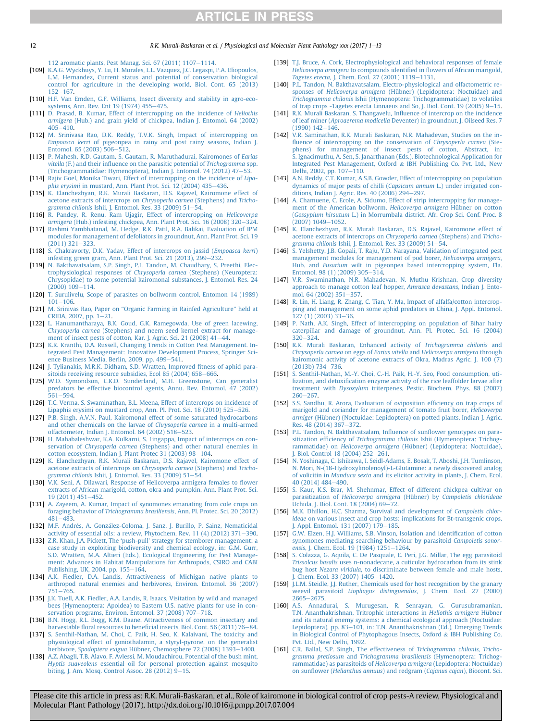<span id="page-11-0"></span>12 R.K. Murali-Baskaran et al. / Physiological and Molecular Plant Pathology xxx (2017) 1–13

[112 aromatic plants, Pest Manag. Sci. 67 \(2011\) 1107](http://refhub.elsevier.com/S0885-5765(17)30149-2/sref108)-[1114](http://refhub.elsevier.com/S0885-5765(17)30149-2/sref108).

- [109] [K.A.G. Wyckhuys, Y. Lu, H. Morales, L.L. Vazquez, J.C. Legaspi, P.A. Eliopoulos,](http://refhub.elsevier.com/S0885-5765(17)30149-2/sref109) [L.M. Hernandez, Current status and potential of conservation biological](http://refhub.elsevier.com/S0885-5765(17)30149-2/sref109) [control for agriculture in the developing world, Biol. Cont. 65 \(2013\)](http://refhub.elsevier.com/S0885-5765(17)30149-2/sref109)  $152 - 167.$  $152 - 167.$  $152 - 167.$
- [110] [H.F. Van Emden, G.F. Williams, Insect diversity and stability in agro-eco](http://refhub.elsevier.com/S0885-5765(17)30149-2/sref110)[systems, Ann. Rev. Ent 19 \(1974\) 455](http://refhub.elsevier.com/S0885-5765(17)30149-2/sref110)-[475.](http://refhub.elsevier.com/S0885-5765(17)30149-2/sref110)
- [111] [D. Prasad, B. Kumar, Effect of intercropping on the incidence of](http://refhub.elsevier.com/S0885-5765(17)30149-2/sref111) Heliothis armigera [\(Hub.\) and grain yield of chickpea, Indian J. Entomol. 64 \(2002\)](http://refhub.elsevier.com/S0885-5765(17)30149-2/sref111)  $405 - 410$  $405 - 410$ .
- [112] [M. Srinivasa Rao, D.K. Reddy, T.V.K. Singh, Impact of intercropping on](http://refhub.elsevier.com/S0885-5765(17)30149-2/sref112) Empoasca kerri [of pigeonpea in rainy and post rainy seasons, Indian J.](http://refhub.elsevier.com/S0885-5765(17)30149-2/sref112) Entomol.  $65$  (2003)  $506 - 512$  $506 - 512$ .
- [113] [P. Mahesh, R.D. Gautam, S. Gautam, R. Maruthadurai, Kairomones of](http://refhub.elsevier.com/S0885-5765(17)30149-2/sref113) Earias vitella (F.) and their infl[uence on the parasitic potential of](http://refhub.elsevier.com/S0885-5765(17)30149-2/sref113) Trichogramma spp. [\(Trichogrammatidae: Hymenoptera\), Indian J. Entomol. 74 \(2012\) 47](http://refhub.elsevier.com/S0885-5765(17)30149-2/sref113)–[53.](http://refhub.elsevier.com/S0885-5765(17)30149-2/sref113)
- [114] [Rajiv Goel, Monika Tiwari, Effect of intercropping on the incidence of](http://refhub.elsevier.com/S0885-5765(17)30149-2/sref114) Lipa $phis$  erysimi in mustard. Ann. Plant Prot. Sci.  $12$  (2004) 435-[436.](http://refhub.elsevier.com/S0885-5765(17)30149-2/sref114)
- [115] [K. Elanchezhyan, R.K. Murali Baskaran, D.S. Rajavel, Kairomone effect of](http://refhub.elsevier.com/S0885-5765(17)30149-2/sref115) [acetone extracts of intercrops on](http://refhub.elsevier.com/S0885-5765(17)30149-2/sref115) Chrysoperla carnea (Stephens) and Tricho-gramma chilonis [Ishii, J. Entomol. Res. 33 \(2009\) 51](http://refhub.elsevier.com/S0885-5765(17)30149-2/sref115)-[54.](http://refhub.elsevier.com/S0885-5765(17)30149-2/sref115)
- [116] [R. Pandey, R. Renu, Ram Ujagir, Effect of intercropping on](http://refhub.elsevier.com/S0885-5765(17)30149-2/sref116) Helicoverpa armigera [\(Hub.\) infesting chickpea, Ann. Plant Prot. Sci. 16 \(2008\) 320](http://refhub.elsevier.com/S0885-5765(17)30149-2/sref116)-[324](http://refhub.elsevier.com/S0885-5765(17)30149-2/sref116).
- [117] [Rashmi Yambhatanal, M. Hedge, R.K. Patil, R.A. Balikai, Evaluation of IPM](http://refhub.elsevier.com/S0885-5765(17)30149-2/sref117) [modules for management of defoliators in groundnut, Ann. Plant Prot. Sci. 19](http://refhub.elsevier.com/S0885-5765(17)30149-2/sref117)  $(2011)$  321-[323.](http://refhub.elsevier.com/S0885-5765(17)30149-2/sref117)
- [118] [S. Chakravorty, D.K. Yadav, Effect of intercrops on jassid \(](http://refhub.elsevier.com/S0885-5765(17)30149-2/sref118)*Empoasca kerri*)<br>[infesting green gram, Ann. Plant Prot. Sci. 21 \(2013\), 299](http://refhub.elsevier.com/S0885-5765(17)30149-2/sref118)–[232.](http://refhub.elsevier.com/S0885-5765(17)30149-2/sref118)
- [119] [N. Bakthavatsalam, S.P. Singh, P.L. Tandon, M. Chaudhary, S. Preethi, Elec](http://refhub.elsevier.com/S0885-5765(17)30149-2/sref119)[trophysiological responses of](http://refhub.elsevier.com/S0885-5765(17)30149-2/sref119) Chrysoperla carnea (Stephens) (Neuroptera: [Chrysopidae\) to some potential kairomonal substances, J. Entomol. Res. 24](http://refhub.elsevier.com/S0885-5765(17)30149-2/sref119)  $(2000)$  109-[114.](http://refhub.elsevier.com/S0885-5765(17)30149-2/sref119)
- [120] [T. Surulivelu, Scope of parasites on bollworm control, Entomon 14 \(1989\)](http://refhub.elsevier.com/S0885-5765(17)30149-2/sref120)  $101 - 106$  $101 - 106$
- [121] M. Srinivas Rao, Paper on "[Organic Farming in Rainfed Agriculture](http://refhub.elsevier.com/S0885-5765(17)30149-2/sref121)" held at [CRIDA, 2007, pp. 1](http://refhub.elsevier.com/S0885-5765(17)30149-2/sref121)-[21.](http://refhub.elsevier.com/S0885-5765(17)30149-2/sref121)
- [122] [L. Hanumantharaya, B.K. Goud, G.K. Ramegowda, Use of green lacewing,](http://refhub.elsevier.com/S0885-5765(17)30149-2/sref122) Chrysoperla carnea [\(Stephens\) and neem seed kernel extract for manage](http://refhub.elsevier.com/S0885-5765(17)30149-2/sref122)[ment of insect pests of cotton, Kar. J. Agric. Sci. 21 \(2008\) 41](http://refhub.elsevier.com/S0885-5765(17)30149-2/sref122)-[44.](http://refhub.elsevier.com/S0885-5765(17)30149-2/sref122)
- [123] [K.R. Kranthi, D.A. Russell, Changing Trends in Cotton Pest Management. In](http://refhub.elsevier.com/S0885-5765(17)30149-2/sref123)[tegrated Pest Management: Innovative Development Process, Springer Sci](http://refhub.elsevier.com/S0885-5765(17)30149-2/sref123)[ence Business Media, Berlin, 2009, pp. 499](http://refhub.elsevier.com/S0885-5765(17)30149-2/sref123)-[541.](http://refhub.elsevier.com/S0885-5765(17)30149-2/sref123)
- [124] [J. Tylianakis, M.R.K. Didham, S.D. Wratten, Improved](http://refhub.elsevier.com/S0885-5765(17)30149-2/sref124) fitness of aphid para-itoids receiving resource subsidies, Ecol 85 (2004) 658-[666.](http://refhub.elsevier.com/S0885-5765(17)30149-2/sref124)
- [125] [W.O. Symondson, C.K.D. Sunderland, M.H. Greenstone, Can generalist](http://refhub.elsevier.com/S0885-5765(17)30149-2/sref125) [predators be effective biocontrol agents, Annu. Rev. Entomol. 47 \(2002\)](http://refhub.elsevier.com/S0885-5765(17)30149-2/sref125) [561](http://refhub.elsevier.com/S0885-5765(17)30149-2/sref125)-[594.](http://refhub.elsevier.com/S0885-5765(17)30149-2/sref125)
- [126] [T.C. Verma, S. Swaminathan, B.L. Meena, Effect of intercrops on incidence of](http://refhub.elsevier.com/S0885-5765(17)30149-2/sref126) [Lipaphis erysimi on mustard crop, Ann. Pl. Prot. Sci. 18 \(2010\) 525](http://refhub.elsevier.com/S0885-5765(17)30149-2/sref126)–[526.](http://refhub.elsevier.com/S0885-5765(17)30149-2/sref126)
- [127] [P.B. Singh, A.V.N. Paul, Kairomonal effect of some saturated hydrocarbons](http://refhub.elsevier.com/S0885-5765(17)30149-2/sref127) [and other chemicals on the larvae of](http://refhub.elsevier.com/S0885-5765(17)30149-2/sref127) Chrysoperla carnea in a multi-armed  $olfactometer, Indian J. Entomol. 64 (2002) 518–523.$  $olfactometer, Indian J. Entomol. 64 (2002) 518–523.$  $olfactometer, Indian J. Entomol. 64 (2002) 518–523.$  $olfactometer, Indian J. Entomol. 64 (2002) 518–523.$
- [128] [H. Mahabaleshwar, K.A. Kulkarni, S. Lingappa, Impact of intercrops on con](http://refhub.elsevier.com/S0885-5765(17)30149-2/sref128)servation of Chrysoperla carnea [\(Stephens\) and other natural enemies in](http://refhub.elsevier.com/S0885-5765(17)30149-2/sref128) [cotton ecosystem, Indian J. Plant Protec 31 \(2003\) 98](http://refhub.elsevier.com/S0885-5765(17)30149-2/sref128)-[104](http://refhub.elsevier.com/S0885-5765(17)30149-2/sref128).
- [129] [K. Elanchezhyan, R.K. Murali Baskaran, D.S. Rajavel, Kairomone effect of](http://refhub.elsevier.com/S0885-5765(17)30149-2/sref129) [acetone extracts of intercrops on](http://refhub.elsevier.com/S0885-5765(17)30149-2/sref129) Chrysoperla carnea (Stephens) and Tricho-gramma chilonis [Ishii, J. Entomol. Res. 33 \(2009\) 51](http://refhub.elsevier.com/S0885-5765(17)30149-2/sref129)-[54.](http://refhub.elsevier.com/S0885-5765(17)30149-2/sref129)
- [130] [V.K. Seni, A. Dilawari, Response of Helicoverpa armigera females to](http://refhub.elsevier.com/S0885-5765(17)30149-2/sref130) flower [extracts of African marigold, cotton, okra and pumpkin, Ann. Plant Prot. Sci.](http://refhub.elsevier.com/S0885-5765(17)30149-2/sref130) [19 \(2011\) 451](http://refhub.elsevier.com/S0885-5765(17)30149-2/sref130)-[452.](http://refhub.elsevier.com/S0885-5765(17)30149-2/sref130)
- [131] [A. Zayeem, A. Kumar, Impact of synomones emanating from cole crops on](http://refhub.elsevier.com/S0885-5765(17)30149-2/sref131) foraging behavior of Trichogramma brasiliensis[, Ann. Pl. Protec. Sci. 20 \(2012\)](http://refhub.elsevier.com/S0885-5765(17)30149-2/sref131) [481](http://refhub.elsevier.com/S0885-5765(17)30149-2/sref131)-[483.](http://refhub.elsevier.com/S0885-5765(17)30149-2/sref131)
- [132] M.F. Andrés, A. Gonzá[lez-Coloma, J. Sanz, J. Burillo, P. Sainz, Nematicidal](http://refhub.elsevier.com/S0885-5765(17)30149-2/sref132) activity of essential oils: a review, Phytochem. Rev.  $11$  (4) (2012) 371-[390](http://refhub.elsevier.com/S0885-5765(17)30149-2/sref132).
- [133] Z.R. Khan, J.A. Pickett, The 'push-pull' [strategy for stemborer management: a](http://refhub.elsevier.com/S0885-5765(17)30149-2/sref133) [case study in exploiting biodiversity and chemical ecology, in: G.M. Gurr,](http://refhub.elsevier.com/S0885-5765(17)30149-2/sref133) [S.D. Wratten, M.A. Altieri \(Eds.\), Ecological Engineering for Pest Manage](http://refhub.elsevier.com/S0885-5765(17)30149-2/sref133)[ment: Advances in Habitat Manipulations for Arthropods, CSIRO and CABI](http://refhub.elsevier.com/S0885-5765(17)30149-2/sref133) [Publishing, UK, 2004, pp. 155](http://refhub.elsevier.com/S0885-5765(17)30149-2/sref133)-[164](http://refhub.elsevier.com/S0885-5765(17)30149-2/sref133).
- [134] [A.K. Fiedler, D.A. Landis, Attractiveness of Michigan native plants to](http://refhub.elsevier.com/S0885-5765(17)30149-2/sref134) [arthropod natural enemies and herbivores, Environ. Entomol. 36 \(2007\)](http://refhub.elsevier.com/S0885-5765(17)30149-2/sref134) [751](http://refhub.elsevier.com/S0885-5765(17)30149-2/sref134)-765
- [135] [J.K. Tuell, A.K. Fiedler, A.A. Landis, R. Isaacs, Visitation by wild and managed](http://refhub.elsevier.com/S0885-5765(17)30149-2/sref135) [bees \(Hymenoptera: Apoidea\) to Eastern U.S. native plants for use in con](http://refhub.elsevier.com/S0885-5765(17)30149-2/sref135)[servation programs, Environ. Entomol. 37 \(2008\) 707](http://refhub.elsevier.com/S0885-5765(17)30149-2/sref135)-[718](http://refhub.elsevier.com/S0885-5765(17)30149-2/sref135).
- [136] [B.N. Hogg, R.L. Bugg, K.M. Daane, Attractiveness of common insectary and](http://refhub.elsevier.com/S0885-5765(17)30149-2/sref136) harvestable floral resources to benefi[cial insects, Biol. Cont. 56 \(2011\) 76](http://refhub.elsevier.com/S0885-5765(17)30149-2/sref136)-[84](http://refhub.elsevier.com/S0885-5765(17)30149-2/sref136).
- [137] [S. Senthil-Nathan, M. Choi, C. Paik, H. Seo, K. Kalaivani, The toxicity and](http://refhub.elsevier.com/S0885-5765(17)30149-2/sref137) [physiological effect of goniothalamin, a styryl-pyrone, on the generalist](http://refhub.elsevier.com/S0885-5765(17)30149-2/sref137) herbivore, Spodoptera exigua [Hübner, Chemosphere 72 \(2008\) 1393](http://refhub.elsevier.com/S0885-5765(17)30149-2/sref137)-[1400](http://refhub.elsevier.com/S0885-5765(17)30149-2/sref137).
- [138] [A.Z. Abagli, T.B. Alavo, F. Avlessi, M. Moudachirou, Potential of the bush mint,](http://refhub.elsevier.com/S0885-5765(17)30149-2/sref138) Hyptis suaveolens [essential oil for personal protection against mosquito](http://refhub.elsevier.com/S0885-5765(17)30149-2/sref138) [biting, J. Am. Mosq. Control Assoc. 28 \(2012\) 9](http://refhub.elsevier.com/S0885-5765(17)30149-2/sref138)-[15](http://refhub.elsevier.com/S0885-5765(17)30149-2/sref138).
- [139] [T.J. Bruce, A. Cork, Electrophysiological and behavioral responses of female](http://refhub.elsevier.com/S0885-5765(17)30149-2/sref139) Helicoverpa armigera to compounds identified in fl[owers of African marigold,](http://refhub.elsevier.com/S0885-5765(17)30149-2/sref139) Tagetes erecta[, J. Chem. Ecol. 27 \(2001\) 1119](http://refhub.elsevier.com/S0885-5765(17)30149-2/sref139)-[1131.](http://refhub.elsevier.com/S0885-5765(17)30149-2/sref139)
- [140] [P.L. Tandon, N. Bakthavatsalam, Electro-physiological and olfactometric re](http://refhub.elsevier.com/S0885-5765(17)30149-2/sref140)sponses of Helicoverpa armigera [\(Hübner\) \(Lepidoptera: Noctuidae\) and](http://refhub.elsevier.com/S0885-5765(17)30149-2/sref140) Trichogramma chilonis [Ishii \(Hymenoptera: Trichogrammatidae\) to volatiles](http://refhub.elsevier.com/S0885-5765(17)30149-2/sref140) of trap crops -Tagetes erecta Linnaeus and So, J. Biol. Cont.  $19(2005)$  9-[15](http://refhub.elsevier.com/S0885-5765(17)30149-2/sref140).
- [141] [R.K. Murali Baskaran, S. Thangavelu, In](http://refhub.elsevier.com/S0885-5765(17)30149-2/sref141)fluence of intercrop on the incidence of leaf miner (Aproaerema modicella [Deventer\) in groundnut, J. Oilseed Res. 7](http://refhub.elsevier.com/S0885-5765(17)30149-2/sref141)  $(1990)$  142 $-146$ .
- [142] [V.R. Saminathan, R.K. Murali Baskaran, N.R. Mahadevan, Studies on the in](http://refhub.elsevier.com/S0885-5765(17)30149-2/sref142)fl[uence of intercropping on the conservation of](http://refhub.elsevier.com/S0885-5765(17)30149-2/sref142) Chrysoperla carnea (Ste[phens\) for management of insect pests of cotton, Abstract, in:](http://refhub.elsevier.com/S0885-5765(17)30149-2/sref142) [S. Ignacimuthu, A. Sen, S. Janarthanan \(Eds.\), Biotechnological Application for](http://refhub.elsevier.com/S0885-5765(17)30149-2/sref142) [Integrated Pest Management, Oxford](http://refhub.elsevier.com/S0885-5765(17)30149-2/sref142) & [IBH Publishing Co. Pvt. Ltd., New](http://refhub.elsevier.com/S0885-5765(17)30149-2/sref142) [Delhi, 2002, pp. 107](http://refhub.elsevier.com/S0885-5765(17)30149-2/sref142)-[110.](http://refhub.elsevier.com/S0885-5765(17)30149-2/sref142)
- [143] [A.N. Reddy, C.T. Kumar, A.S.B. Gowder, Effect of intercropping on population](http://refhub.elsevier.com/S0885-5765(17)30149-2/sref143) [dynamics of major pests of chilli \(](http://refhub.elsevier.com/S0885-5765(17)30149-2/sref143)Capsicum annum L.) under irrigated con[ditions, Indian J. Agric. Res. 40 \(2006\) 294](http://refhub.elsevier.com/S0885-5765(17)30149-2/sref143)-[297.](http://refhub.elsevier.com/S0885-5765(17)30149-2/sref143)
- [144] [A. Chamuene, C. Ecole, A. Sidumo, Effect of strip intercropping for manage](http://refhub.elsevier.com/S0885-5765(17)30149-2/sref144)[ment of the American bollworm,](http://refhub.elsevier.com/S0885-5765(17)30149-2/sref144) Helicoverpa armigera Hübner on cotton (Gossypium hirsutum [L.\) in Morrumbala district, Afr. Crop Sci. Conf. Proc. 8](http://refhub.elsevier.com/S0885-5765(17)30149-2/sref144)  $(2007)$  1049-[1052](http://refhub.elsevier.com/S0885-5765(17)30149-2/sref144).
- [145] [K. Elanchezhyan, R.K. Murali Baskaran, D.S. Rajavel, Kairomone effect of](http://refhub.elsevier.com/S0885-5765(17)30149-2/sref145) [acetone extracts of intercrops on](http://refhub.elsevier.com/S0885-5765(17)30149-2/sref145) Chrysoperla carnea (Stephens) and Trichogramma chilonis Ishii, J. Entomol. Res.  $33$  (2009) 51–[54.](http://refhub.elsevier.com/S0885-5765(17)30149-2/sref145)
- [146] [S. Yelshetty, J.B. Gopali, T. Raju, Y.D. Narayana, Validation of integrated pest](http://refhub.elsevier.com/S0885-5765(17)30149-2/sref146) [management modules for management of pod borer,](http://refhub.elsevier.com/S0885-5765(17)30149-2/sref146) Helicoverpa armigera, Hub. and Fusarium [wilt in pigeonpea based intercropping system, Fla.](http://refhub.elsevier.com/S0885-5765(17)30149-2/sref146) [Entomol. 98 \(1\) \(2009\) 305](http://refhub.elsevier.com/S0885-5765(17)30149-2/sref146)-[314.](http://refhub.elsevier.com/S0885-5765(17)30149-2/sref146)
- [147] [V.R. Swaminathan, N.R. Mahadevan, N. Muthu Krishnan, Crop diversity](http://refhub.elsevier.com/S0885-5765(17)30149-2/sref147) [approach to manage cotton leaf hopper,](http://refhub.elsevier.com/S0885-5765(17)30149-2/sref147) Amrasca devastans, Indian J. Ento[mol. 64 \(2002\) 351](http://refhub.elsevier.com/S0885-5765(17)30149-2/sref147)-[357](http://refhub.elsevier.com/S0885-5765(17)30149-2/sref147).
- [148] [R. Lin, H. Liang, R. Zhang, C. Tian, Y. Ma, Impact of alfalfa/cotton intercrop](http://refhub.elsevier.com/S0885-5765(17)30149-2/sref148)[ping and management on some aphid predators in China, J. Appl. Entomol.](http://refhub.elsevier.com/S0885-5765(17)30149-2/sref148) [127 \(1\) \(2003\) 33](http://refhub.elsevier.com/S0885-5765(17)30149-2/sref148)-[36.](http://refhub.elsevier.com/S0885-5765(17)30149-2/sref148)
- [149] [P. Nath, A.K. Singh, Effect of intercropping on population of Bihar hairy](http://refhub.elsevier.com/S0885-5765(17)30149-2/sref149) [caterpillar and damage of groundnut, Ann. Pl. Protec. Sci. 16 \(2004\)](http://refhub.elsevier.com/S0885-5765(17)30149-2/sref149)  $320 - 324$  $320 - 324$ .
- [150] [R.K. Murali Baskaran, Enhanced activity of](http://refhub.elsevier.com/S0885-5765(17)30149-2/sref150) Trichogramma chilonis and Chrysoperla carnea on eggs of Earias vitella and [Helicoverpa armigera](http://refhub.elsevier.com/S0885-5765(17)30149-2/sref150) through [kairomonic activity of acetone extracts of Okra, Madras Agric. J. 100 \(7\)](http://refhub.elsevier.com/S0885-5765(17)30149-2/sref150)  $(2013b) 734 - 736.$  $(2013b) 734 - 736.$  $(2013b) 734 - 736.$
- [151] [S. Senthil-Nathan, M.-Y. Choi, C.-H. Paik, H.-Y. Seo, Food consumption, uti](http://refhub.elsevier.com/S0885-5765(17)30149-2/sref151)lization, and detoxifi[cation enzyme activity of the rice leaffolder larvae after](http://refhub.elsevier.com/S0885-5765(17)30149-2/sref151) treatment with Dysoxylum [triterpenes, Pestic. Biochem. Phys. 88 \(2007\)](http://refhub.elsevier.com/S0885-5765(17)30149-2/sref151)  $260 - 267$  $260 - 267$ .
- [152] [S.S. Sandhu, R. Arora, Evaluation of oviposition ef](http://refhub.elsevier.com/S0885-5765(17)30149-2/sref152)ficiency on trap crops of [marigold and coriander for management of tomato fruit borer,](http://refhub.elsevier.com/S0885-5765(17)30149-2/sref152) Helicoverpa armiger [\(Hübner\) \(Noctuidae: Lepidoptera\) on potted plants, Indian J. Agric.](http://refhub.elsevier.com/S0885-5765(17)30149-2/sref152) [Res. 48 \(2014\) 367](http://refhub.elsevier.com/S0885-5765(17)30149-2/sref152)-[372.](http://refhub.elsevier.com/S0885-5765(17)30149-2/sref152)
- [153] [P.L. Tandon, N. Bakthavatsalam, In](http://refhub.elsevier.com/S0885-5765(17)30149-2/sref153)fluence of sunflower genotypes on parasitization efficiency of Trichogramma chilonis [Ishii \(Hymenoptera: Trichog](http://refhub.elsevier.com/S0885-5765(17)30149-2/sref153)rammatidae) on Helicoverpa armigera [\(Hübner\) \(Lepidoptera: Noctuidae\),](http://refhub.elsevier.com/S0885-5765(17)30149-2/sref153) [J. Biol. Control 18 \(2004\) 252](http://refhub.elsevier.com/S0885-5765(17)30149-2/sref153)-[261](http://refhub.elsevier.com/S0885-5765(17)30149-2/sref153).
- [154] [N. Yoshinaga, C. Ishikawa, I. Seidl-Adams, E. Bosak, T. Aboshi, J.H. Tumlinson,](http://refhub.elsevier.com/S0885-5765(17)30149-2/sref154) [N. Mori, N-\(18-Hydroxylinolenoyl\)-L-Glutamine: a newly discovered analog](http://refhub.elsevier.com/S0885-5765(17)30149-2/sref154) of volicitin in Manduca sexta [and its elicitor activity in plants, J. Chem. Ecol.](http://refhub.elsevier.com/S0885-5765(17)30149-2/sref154) [40 \(2014\) 484](http://refhub.elsevier.com/S0885-5765(17)30149-2/sref154)-[490.](http://refhub.elsevier.com/S0885-5765(17)30149-2/sref154)
- [155] [S. Kaur, K.S. Brar, M. Shehnmar, Effect of different chickpea cultivar on](http://refhub.elsevier.com/S0885-5765(17)30149-2/sref155) parasitization of Helicoverpa armigera (Hübner) by [Campoletis chlorideae](http://refhub.elsevier.com/S0885-5765(17)30149-2/sref155) [Uchida, J. Biol. Cont. 18 \(2004\) 69](http://refhub.elsevier.com/S0885-5765(17)30149-2/sref155)-72
- [156] [M.K. Dhillon, H.C. Sharma, Survival and development of](http://refhub.elsevier.com/S0885-5765(17)30149-2/sref156) Campoletis chlorideae [on various insect and crop hosts: implications for Bt-transgenic crops,](http://refhub.elsevier.com/S0885-5765(17)30149-2/sref156) [J. Appl. Entomol. 131 \(2007\) 179](http://refhub.elsevier.com/S0885-5765(17)30149-2/sref156)-[185](http://refhub.elsevier.com/S0885-5765(17)30149-2/sref156).
- [157] [G.W. Elzen, H.J. Williams, S.B. Vinson, Isolation and identi](http://refhub.elsevier.com/S0885-5765(17)30149-2/sref157)fication of cotton [synomones mediating searching behaviour by parasitoid](http://refhub.elsevier.com/S0885-5765(17)30149-2/sref157) Campoletis sonor-ensis[, J. Chem. Ecol. 19 \(1984\) 1251](http://refhub.elsevier.com/S0885-5765(17)30149-2/sref157)-[1264](http://refhub.elsevier.com/S0885-5765(17)30149-2/sref157).
- [158] [S. Colazza, G. Aquila, C. De Pasquale, E. Peri, J.G. Millar, The egg parasitoid](http://refhub.elsevier.com/S0885-5765(17)30149-2/sref158) Trissolcus basalis [uses n-nonadecane, a cuticular hydrocarbon from its stink](http://refhub.elsevier.com/S0885-5765(17)30149-2/sref158) bug host Nezara viridula[, to discriminate between female and male hosts,](http://refhub.elsevier.com/S0885-5765(17)30149-2/sref158) Chem. Ecol. 33 (2007) 1405-[1420](http://refhub.elsevier.com/S0885-5765(17)30149-2/sref158).
- [159] [J.L.M. Steidle, J.J. Ruther, Chemicals used for host recognition by the granary](http://refhub.elsevier.com/S0885-5765(17)30149-2/sref159) weevil parasitoid Liophagus distinguendus[, J. Chem. Ecol. 27 \(2000\)](http://refhub.elsevier.com/S0885-5765(17)30149-2/sref159)  $2665 - 2675.$  $2665 - 2675.$  $2665 - 2675.$  $2665 - 2675.$
- [160] [A.S. Annadurai, S. Murugesan, R. Senrayan, G. Gurusubramanian,](http://refhub.elsevier.com/S0885-5765(17)30149-2/sref160) [T.N. Ananthakrishnan, Tritrophic interactions in](http://refhub.elsevier.com/S0885-5765(17)30149-2/sref160) Heliothis armigera Hübner [and its natural enemy systems: a chemical ecological approach \(Noctuidae:](http://refhub.elsevier.com/S0885-5765(17)30149-2/sref160) [Lepidoptera\), pp. 83](http://refhub.elsevier.com/S0885-5765(17)30149-2/sref160)-[101, in: T.N. Ananthakrishnan \(Ed.\), Emerging Trends](http://refhub.elsevier.com/S0885-5765(17)30149-2/sref160) [in Biological Control of Phytophagous Insects, Oxford](http://refhub.elsevier.com/S0885-5765(17)30149-2/sref160) & [IBH Publishing Co.](http://refhub.elsevier.com/S0885-5765(17)30149-2/sref160) [Pvt. Ltd., New Delhi, 1992](http://refhub.elsevier.com/S0885-5765(17)30149-2/sref160).
- [161] [C.R. Ballal, S.P. Singh, The effectiveness of](http://refhub.elsevier.com/S0885-5765(17)30149-2/sref161) Trichogramma chilonis, Trichogramma pretiosum and [Trichogramma brasiliensis](http://refhub.elsevier.com/S0885-5765(17)30149-2/sref161) (Hymenoptera: Trichog[rammatidae\) as parasitoids of](http://refhub.elsevier.com/S0885-5765(17)30149-2/sref161) Helicoverpa armigera (Lepidoptera: Noctuidae) on sunflower ([Helianthus annuus](http://refhub.elsevier.com/S0885-5765(17)30149-2/sref161)) and redgram (Cajanus cajan), Biocont. Sci.